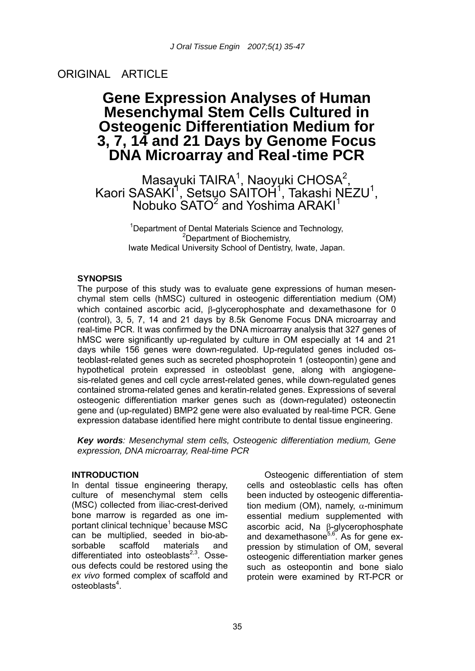## ORIGINAL ARTICLE

# **Gene Expression Analyses of Human Mesenchymal Stem Cells Cultured in Osteogenic Differentiation Medium for 3, 7, 14 and 21 Days by Genome Focus DNA Microarray and Real-time PCR**

Masayuki TAIRA<sup>1</sup>, Naoyuki CHOSA<sup>2</sup>, Kaori SASAKI<sup>1</sup>, Setsuo SAITOH<sup>1</sup>, Takashi NEZU<sup>1</sup>, Nobuko  $SATO<sup>2</sup>$  and Yoshima ARAKI<sup>1</sup>

> <sup>1</sup>Department of Dental Materials Science and Technology, <sup>2</sup>Department of Biochemistry, Iwate Medical University School of Dentistry, Iwate, Japan.

### **SYNOPSIS**

The purpose of this study was to evaluate gene expressions of human mesenchymal stem cells (hMSC) cultured in osteogenic differentiation medium (OM) which contained ascorbic acid, β-glycerophosphate and dexamethasone for 0 (control), 3, 5, 7, 14 and 21 days by 8.5k Genome Focus DNA microarray and real-time PCR. It was confirmed by the DNA microarray analysis that 327 genes of hMSC were significantly up-regulated by culture in OM especially at 14 and 21 days while 156 genes were down-regulated. Up-regulated genes included osteoblast-related genes such as secreted phosphoprotein 1 (osteopontin) gene and hypothetical protein expressed in osteoblast gene, along with angiogenesis-related genes and cell cycle arrest-related genes, while down-regulated genes contained stroma-related genes and keratin-related genes. Expressions of several osteogenic differentiation marker genes such as (down-regulated) osteonectin gene and (up-regulated) BMP2 gene were also evaluated by real-time PCR. Gene expression database identified here might contribute to dental tissue engineering.

*Key words: Mesenchymal stem cells, Osteogenic differentiation medium, Gene expression, DNA microarray, Real-time PCR* 

#### **INTRODUCTION**

In dental tissue engineering therapy, culture of mesenchymal stem cells (MSC) collected from iliac-crest-derived bone marrow is regarded as one important clinical technique<sup>1</sup> because MSC can be multiplied, seeded in bio-absorbable scaffold materials and differentiated into osteoblasts $2,3$ . Osseous defects could be restored using the *ex vivo* formed complex of scaffold and osteoblasts<sup>4</sup>.

Osteogenic differentiation of stem cells and osteoblastic cells has often been inducted by osteogenic differentiation medium (OM), namely,  $\alpha$ -minimum essential medium supplemented with ascorbic acid, Na β-glycerophosphate and dexamethasone $5,6$ . As for gene expression by stimulation of OM, several osteogenic differentiation marker genes such as osteopontin and bone sialo protein were examined by RT-PCR or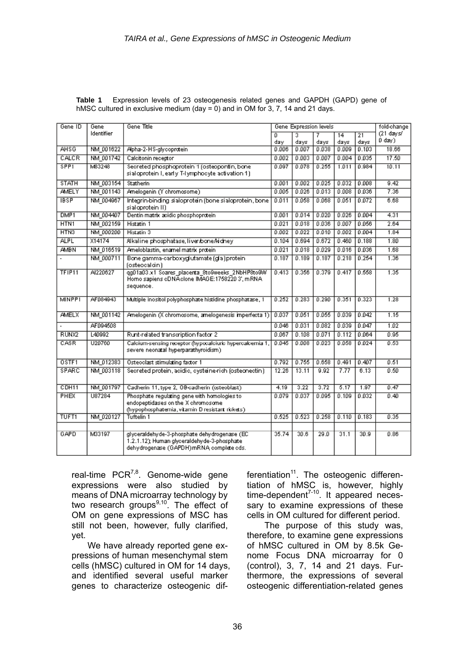| Gene ID          | Gene              | Gene Title                                                                                                                               |       |       | Gene Expression levels |       |                 | fold-change         |
|------------------|-------------------|------------------------------------------------------------------------------------------------------------------------------------------|-------|-------|------------------------|-------|-----------------|---------------------|
|                  | <b>Identifier</b> |                                                                                                                                          | ō     | 3     |                        | 14    | $\overline{21}$ | $(21 \text{ days})$ |
|                  |                   |                                                                                                                                          | day   | days  | days                   | days  | days            | $0$ day)            |
| <b>AHSG</b>      | NM_001622         | Alpha-2-HS-glycoprotein                                                                                                                  | 0.006 | 0.007 | 0.038                  | 0.009 | 0.103           | 18.66               |
| CALCR            | NM 001742         | Calcitonin receptor                                                                                                                      | 0.002 | 0.003 | 0.007                  | 0.004 | 0.035           | 17.50               |
| SPP1             | M83248            | Secreted phosphoprotein 1 (osteopontin, bone<br>sialoprotein I, early T-lymphocyte activation 1)                                         | 0.097 | 0.078 | 0.255                  | 1.011 | 0.984           | 10.11               |
| <b>STATH</b>     | NM 003154         | <b>Statherin</b>                                                                                                                         | 0.001 | 0.002 | 0.025                  | 0.032 | 0.008           | 9.42                |
| <b>AMELY</b>     | NM 001143         | Amelogenin (Y chromosome).                                                                                                               | 0.005 | 0.026 | 0.013                  | 0.008 | 0.036           | 7.36                |
| <b>IBSP</b>      | NM 004967         | Integrin-binding sialoprotein (bone sialoprotein, bone<br>sialoprotein II).                                                              | 0.011 | 0.058 | 0.068                  | 0.051 | 0.072           | 6.68                |
| DMP1             | NM 004407         | Dentin matrix acidic phosphoprotein                                                                                                      | 0.001 | 0.014 | 0.020                  | 0.026 | 0.004           | 4.31                |
| HTN <sub>1</sub> | NM 002159         | Histatin 1                                                                                                                               | 0.021 | 0.018 | 0.036                  | 0.007 | 0.056           | 2.64                |
| HTN3             | NM 000200         | Histatin 3                                                                                                                               | 0.002 | 0.022 | 0.010                  | 0.002 | 0.004           | 1.84                |
| <b>ALPL</b>      | X14174            | Alkaline phosphatase, liver.bone.Aidney.                                                                                                 | 0.104 | 0.694 | 0.672                  | 0.460 | 0.188           | 1.80                |
| <b>AMBN</b>      | NM 016519         | Ameloblastin, enamel matrix protein                                                                                                      | 0.021 | 0.018 | 0.029                  | 0.016 | 0.036           | 1.68                |
|                  | NM 000711         | Bone gamma-carboxyglutamate (gla) protein<br>(osteocalcin)                                                                               | 0.187 | 0.189 | 0.187                  | 0.218 | 0.254           | 1.36                |
| TFIP11           | Al220627          | qg01a03.x1 Soares_placenta_8to9weeks_2NbHP8to9W<br>Homo sapiens cDNAclone IMAGE:17582203', mRNA<br>sequence.                             | 0.413 | 0.356 | 0.379                  | 0.417 | 0.558           | 1.35                |
| MINPP1           | AF084943          | Multiple inositol polyphosphate histidine phosphatase, 1                                                                                 | 0.252 | 0.283 | 0.290                  | 0.351 | 0.323           | 1.28                |
| <b>AMELX</b>     | NM 001142         | Amelogenin (X chromosome, amelogenesis imperfecta 1)                                                                                     | 0.037 | 0.051 | 0.055                  | 0.039 | 0.042           | 1.15                |
|                  | AF094508          |                                                                                                                                          | 0.046 | 0.031 | 0.082                  | 0.039 | 0.047           | 1.02                |
| RUNX2            | L40992            | Runt-related transcription factor 2                                                                                                      | 0.067 | 0.108 | 0.071                  | 0.112 | 0.064           | 0.95                |
| CASR             | U20760            | Calcium-sensing receptor (hypocalciuric hypercalcemia 1,<br>severe neonatal hyperparathyroidism)                                         | 0.045 | 0.008 | 0.023                  | 0.058 | 0.024           | 0.53                |
| OSTF1            | NM 012383         | Osteoclast stimulating factor 1                                                                                                          | 0.792 | 0.755 | 0.658                  | 0.491 | 0.407           | 0.51                |
| <b>SPARC</b>     | NM 003118         | Secreted protein, acidic, cysteine-rich (osteonectin).                                                                                   | 12.26 | 13.11 | 9.92                   | 7.77  | 6.13            | 0.50                |
| CDH11            | NM_001797         | Cadherin 11, type 2, OB-cadherin (osteoblast)                                                                                            | 4.19  | 3.22  | 3.72                   | 5.17  | 1.97            | 0.47                |
| <b>PHEX</b>      | U87284            | Phosphate regulating gene with homologies to<br>endopeptidases on the X chromosome<br>(hypophosphatemia, vitamin D resistant rickets)    | 0.079 | 0.037 | 0.095                  | 0.109 | 0.032           | 0.40                |
| <b>TUFT1</b>     | NM 020127         | Tuftelin 1                                                                                                                               | 0.525 | 0.523 | 0.258                  | 0.110 | 0.183           | 0.35                |
|                  |                   |                                                                                                                                          |       |       |                        |       |                 |                     |
| GAPD             | M33197            | glyceraldehyde-3-phosphate dehydrogenase (EC-<br>1.2.1.12); Human glyceraldehyde-3-phosphate<br>dehydrogenase (GAPDH) mRNA complete cds. | 35.74 | 30.6  | 29.0                   | 31.1  | 30.9            | 0.86                |

**Table 1** Expression levels of 23 osteogenesis related genes and GAPDH (GAPD) gene of hMSC cultured in exclusive medium (day = 0) and in OM for 3, 7, 14 and 21 days.

real-time  $PCR^{7,8}$ . Genome-wide gene expressions were also studied by means of DNA microarray technology by two research groups<sup>9,10</sup>. The effect of OM on gene expressions of MSC has still not been, however, fully clarified, yet.

We have already reported gene expressions of human mesenchymal stem cells (hMSC) cultured in OM for 14 days, and identified several useful marker genes to characterize osteogenic differentiation $11$ . The osteogenic differentiation of hMSC is, however, highly  $time-dependent<sup>7-10</sup>$ . It appeared necessary to examine expressions of these cells in OM cultured for different period.

The purpose of this study was, therefore, to examine gene expressions of hMSC cultured in OM by 8.5k Genome Focus DNA microarray for 0 (control), 3, 7, 14 and 21 days. Furthermore, the expressions of several osteogenic differentiation-related genes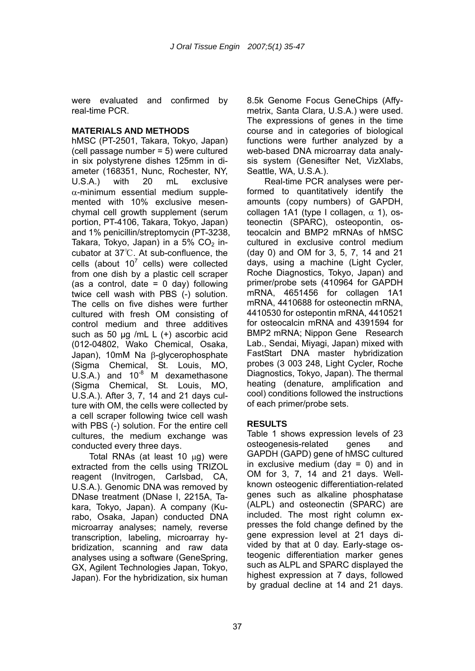were evaluated and confirmed by real-time PCR.

## **MATERIALS AND METHODS**

hMSC (PT-2501, Takara, Tokyo, Japan) (cell passage number = 5) were cultured in six polystyrene dishes 125mm in diameter (168351, Nunc, Rochester, NY, U.S.A.) with 20 mL exclusive  $\alpha$ -minimum essential medium supplemented with 10% exclusive mesenchymal cell growth supplement (serum portion, PT-4106, Takara, Tokyo, Japan) and 1% penicillin/streptomycin (PT-3238, Takara, Tokyo, Japan) in a  $5\%$  CO<sub>2</sub> incubator at 37℃. At sub-confluence, the cells (about  $10^7$  cells) were collected from one dish by a plastic cell scraper (as a control, date  $= 0$  day) following twice cell wash with PBS (-) solution. The cells on five dishes were further cultured with fresh OM consisting of control medium and three additives such as 50 μg /mL L (+) ascorbic acid (012-04802, Wako Chemical, Osaka, Japan), 10mM Na β-glycerophosphate (Sigma Chemical, St. Louis, MO,  $U.S.A.$ ) and 10 $<sup>-8</sup>$  M dexamethasone</sup> (Sigma Chemical, St. Louis, MO, U.S.A.). After 3, 7, 14 and 21 days culture with OM, the cells were collected by a cell scraper following twice cell wash with PBS (-) solution. For the entire cell cultures, the medium exchange was conducted every three days.

Total RNAs (at least 10 μg) were extracted from the cells using TRIZOL reagent (Invitrogen, Carlsbad, CA, U.S.A.). Genomic DNA was removed by DNase treatment (DNase I, 2215A, Takara, Tokyo, Japan). A company (Kurabo, Osaka, Japan) conducted DNA microarray analyses; namely, reverse transcription, labeling, microarray hybridization, scanning and raw data analyses using a software (GeneSpring, GX, Agilent Technologies Japan, Tokyo, Japan). For the hybridization, six human 8.5k Genome Focus GeneChips (Affymetrix, Santa Clara, U.S.A.) were used. The expressions of genes in the time course and in categories of biological functions were further analyzed by a web-based DNA microarray data analysis system (Genesifter Net, VizXlabs, Seattle, WA, U.S.A.).

Real-time PCR analyses were performed to quantitatively identify the amounts (copy numbers) of GAPDH, collagen 1A1 (type I collagen,  $\alpha$  1), osteonectin (SPARC), osteopontin, osteocalcin and BMP2 mRNAs of hMSC cultured in exclusive control medium (day 0) and OM for 3, 5, 7, 14 and 21 days, using a machine (Light Cycler, Roche Diagnostics, Tokyo, Japan) and primer/probe sets (410964 for GAPDH mRNA, 4651456 for collagen 1A1 mRNA, 4410688 for osteonectin mRNA, 4410530 for ostepontin mRNA, 4410521 for osteocalcin mRNA and 4391594 for BMP2 mRNA; Nippon Gene Research Lab., Sendai, Miyagi, Japan) mixed with FastStart DNA master hybridization probes (3 003 248, Light Cycler, Roche Diagnostics, Tokyo, Japan). The thermal heating (denature, amplification and cool) conditions followed the instructions of each primer/probe sets.

## **RESULTS**

Table 1 shows expression levels of 23 osteogenesis-related genes and GAPDH (GAPD) gene of hMSC cultured in exclusive medium (day  $= 0$ ) and in OM for 3, 7, 14 and 21 days. Wellknown osteogenic differentiation-related genes such as alkaline phosphatase (ALPL) and osteonectin (SPARC) are included. The most right column expresses the fold change defined by the gene expression level at 21 days divided by that at 0 day. Early-stage osteogenic differentiation marker genes such as ALPL and SPARC displayed the highest expression at 7 days, followed by gradual decline at 14 and 21 days.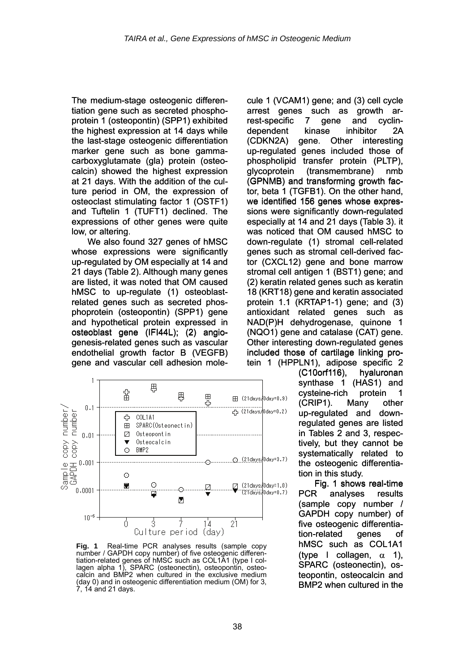The medium-stage osteogenic differentiation gene such as secreted phosphoprotein 1 (osteopontin) (SPP1) exhibited the highest expression at 14 days while the last-stage osteogenic differentiation marker gene such as bone gammacarboxyglutamate (gla) protein (osteocalcin) showed the highest expression at 21 days. With the addition of the culture period in OM, the expression of osteoclast stimulating factor 1 (OSTF1) and Tuftelin 1 (TUFT1) declined. The expressions of other genes were quite low, or altering.

We also found 327 genes of hMSC whose expressions were significantly up-regulated by OM especially at 14 and 21 days (Table 2). Although many genes are listed, it was noted that OM caused hMSC to up-regulate (1) osteoblastrelated genes such as secreted phosphoprotein (osteopontin) (SPP1) gene and hypothetical protein expressed in osteoblast gene (IFI44L); (2) angiogenesis-related genes such as vascular endothelial growth factor B (VEGFB) gene and vascular cell adhesion moleup-regulated by OM especially at 14 and<br>21 days (Table 2). Although many genes<br>are listed, it was noted that OM caused<br>hMSC to up-regulate (1) osteoblast-



**Fig. 1** Real-time PCR analyses results (sample copy number / GAPDH copy number) of five osteogenic differentiation-related genes of hMSC such as COL1A1 (type I collagen alpha 1), SPARC (osteonectin), osteopontin, osteocalcin and BMP2 when cultured in the exclusive medium (day 0) and in osteogenic differentiation medium (OM) for 3, 7, 14 and 21 days.

cule 1 (VCAM1) gene; and (3) cell cycle arrest genes such as growth arrest-specific 7 gene and cyclindependent kinase inhibitor 2A (CDKN2A) gene. Other interesting rest-specific 7 gene and cyclin-<br>dependent kinase inhibitor 2A<br>(CDKN2A) gene. Other interesting<br>up-regulated genes included those of phospholipid transfer protein (PLTP), glycoprotein (transmembrane) nmb (GPNMB) and transforming growth factor, beta 1 (TGFB1). On the other hand, we identified 156 genes whose expressions were significantly down-regulated especially at 14 and 21 days (Table 3). it was noticed that OM caused hMSC to down-regulate (1) stromal cell-related genes such as stromal cell-derived factor (CXCL12) gene and bone marrow stromal cell antigen 1 (BST1) gene; and (2) keratin related genes such as keratin 18 (KRT18) gene and keratin associated protein 1.1 (KRTAP1-1) gene; and (3) antioxidant related genes such as NAD(P)H dehydrogenase, quinone 1 (NQO1) gene and catalase (CAT) gene. Other interesting down-regulated genes included those of cartilage linking protein 1 (HPPLN1), adipose specific 2 tor (CXCL12) gene and bone marrow<br>stromal cell antigen 1 (BST1) gene; and<br>(2) keratin related genes such as keratin<br>18 (KRT18) gene and keratin associated<br>protein 1.1 (KRTAP1-1) gene; and (3)<br>antioxidant related genes such

(C10orf116), hyaluronan synthase 1 (HAS1) and cysteine-rich protein 1  $(CRIP1)$ . Many up-regulated and downregulated genes are listed in Tables 2 and 3, respec-in Tables 2 and 3, respectively, but they cannot be systematically related to tively, but they cannot be<br>systematically related to<br>the osteogenic differentiation in this study. other

Fig. 1 shows real-time PCR analyses results (sample copy number / GAPDH copy number) of five osteogenic differentiation-related genes of hMSC such as COL1A1 (type I collagen,  $\alpha$  1), SPARC (osteonectin), osteopontin, osteocalcin and BMP2 when cultured in the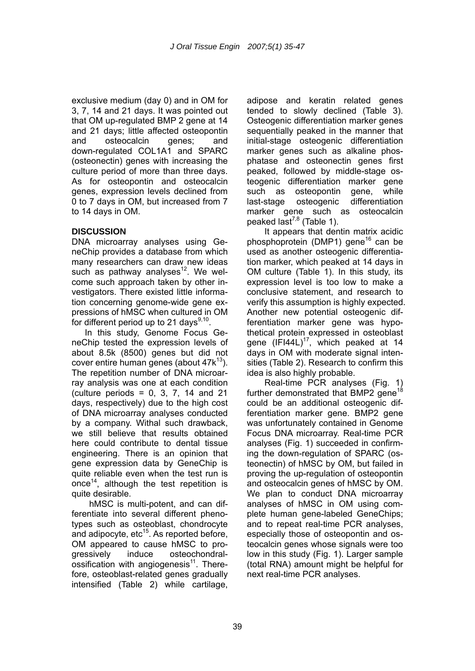exclusive medium (day 0) and in OM for 3, 7, 14 and 21 days. It was pointed out that OM up-regulated BMP 2 gene at 14 and 21 days; little affected osteopontin and osteocalcin genes; and down-regulated COL1A1 and SPARC (osteonectin) genes with increasing the culture period of more than three days. As for osteopontin and osteocalcin genes, expression levels declined from 0 to 7 days in OM, but increased from 7 to 14 days in OM.

## **DISCUSSION**

DNA microarray analyses using GeneChip provides a database from which many researchers can draw new ideas such as pathway analyses $12$ . We welcome such approach taken by other investigators. There existed little information concerning genome-wide gene expressions of hMSC when cultured in OM for different period up to 21 days $9,10$ .

 In this study, Genome Focus GeneChip tested the expression levels of about 8.5k (8500) genes but did not cover entire human genes (about  $47k^{13}$ ). The repetition number of DNA microarray analysis was one at each condition (culture periods  $= 0, 3, 7, 14$  and 21 days, respectively) due to the high cost of DNA microarray analyses conducted by a company. Withal such drawback, we still believe that results obtained here could contribute to dental tissue engineering. There is an opinion that gene expression data by GeneChip is quite reliable even when the test run is once<sup>14</sup>, although the test repetition is quite desirable.

hMSC is multi-potent, and can differentiate into several different phenotypes such as osteoblast, chondrocyte and adipocyte, etc<sup>15</sup>. As reported before, OM appeared to cause hMSC to progressively induce osteochondralossification with angiogenesis $11$ . Therefore, osteoblast-related genes gradually intensified (Table 2) while cartilage, adipose and keratin related genes tended to slowly declined (Table 3). Osteogenic differentiation marker genes sequentially peaked in the manner that initial-stage osteogenic differentiation marker genes such as alkaline phosphatase and osteonectin genes first peaked, followed by middle-stage osteogenic differentiation marker gene such as osteopontin gene, while last-stage osteogenic differentiation marker gene such as osteocalcin peaked last<sup>7,8</sup> (Table 1).

It appears that dentin matrix acidic phosphoprotein (DMP1) gene<sup>16</sup> can be used as another osteogenic differentiation marker, which peaked at 14 days in OM culture (Table 1). In this study, its expression level is too low to make a conclusive statement, and research to verify this assumption is highly expected. Another new potential osteogenic differentiation marker gene was hypothetical protein expressed in osteoblast gene  $(IFI44L)^{17}$ , which peaked at 14 days in OM with moderate signal intensities (Table 2). Research to confirm this idea is also highly probable.

Real-time PCR analyses (Fig. 1) further demonstrated that BMP2 gene<sup>18</sup> could be an additional osteogenic differentiation marker gene. BMP2 gene was unfortunately contained in Genome Focus DNA microarray. Real-time PCR analyses (Fig. 1) succeeded in confirming the down-regulation of SPARC (osteonectin) of hMSC by OM, but failed in proving the up-regulation of osteopontin and osteocalcin genes of hMSC by OM. We plan to conduct DNA microarray analyses of hMSC in OM using complete human gene-labeled GeneChips; and to repeat real-time PCR analyses, especially those of osteopontin and osteocalcin genes whose signals were too low in this study (Fig. 1). Larger sample (total RNA) amount might be helpful for next real-time PCR analyses.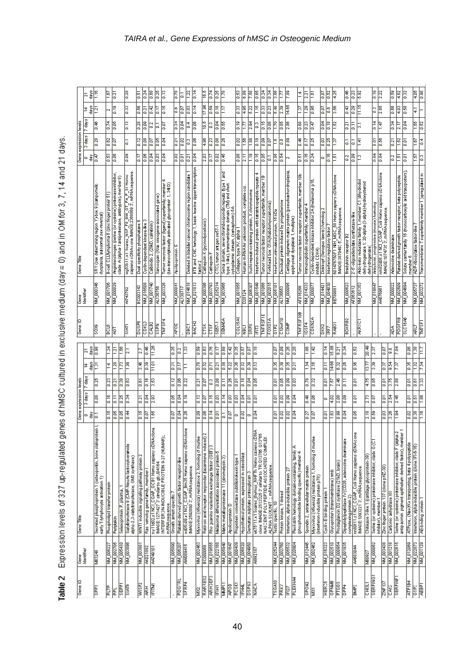Table 2 Expression levels of 327 up-regulated genes of hMSC cultured in exclusive medium (day = 0) and in OM for 3, 7, 14 and 21 days.

| e<br>Gene I            |                        | Gene Title                                                                                                                                                                         |                               | Gene expression levels |                   |                       |                    | Oene TD               |                        | Gene Title                                                                                                                                                     | Gene expression levels |                     |                     |                           |                  |
|------------------------|------------------------|------------------------------------------------------------------------------------------------------------------------------------------------------------------------------------|-------------------------------|------------------------|-------------------|-----------------------|--------------------|-----------------------|------------------------|----------------------------------------------------------------------------------------------------------------------------------------------------------------|------------------------|---------------------|---------------------|---------------------------|------------------|
|                        | Gene<br>Identifier     |                                                                                                                                                                                    |                               | 3 days                 |                   | l4                    | ಸ                  |                       | Gene<br>Identifier     |                                                                                                                                                                |                        | s/ep 8              | 7 days              | 4                         | 21               |
|                        |                        |                                                                                                                                                                                    | ă<br>$\overline{\phantom{0}}$ |                        | 7 days            | š                     | days               |                       |                        |                                                                                                                                                                | ă<br>0                 |                     |                     | å                         | åps              |
| <b>LdaS</b>            | M83248                 | rotein I,<br>Secreted phosphoprotein 1 (osteoportin, bone sialop<br>early T-lymphocyte activation 1)                                                                               | 5                             | e.os                   | 0.25              | ē                     | 0.98               | ß                     | <b>SPC000 PNN</b>      | SRY (sex determining region Y) box 9 (campornelic<br>dysplasia, autosomal sex-reversal)                                                                        | 0.47                   | 82.0                | 0.46                | ្ម                        | E                |
| 팈                      | NM_006227              | Phospholipid transfer protein                                                                                                                                                      | $\frac{15}{2}$                | Ĵΰ                     | 3                 | $\frac{4}{3}$         | ≊                  | ē                     | NM 001706              | B-cell CLL/lymphoma 6 (zinc finger protein 51)                                                                                                                 | 6.53                   | 0.62                | 0.74                | $\frac{167}{2}$           |                  |
| 른                      | NM 002705              | Periplakin                                                                                                                                                                         | 0.05                          | E                      | ē                 | $\frac{28}{2}$        | ē                  | ছ                     | <b>62000TM</b>         | Angiotensinogen (serine (or cysteine) proteinase inhibitor.<br>clade A (alpha-1 antiproteinase, artitrypsin), member 8)                                        | ē                      | ē                   | 80.0                | ā<br>$\frac{9}{2}$        |                  |
| <u>ldas</u>            | NM 005410              | Selenoprotein P. plasma.                                                                                                                                                           | ē                             | 0.26                   | 8                 | E                     | ုး                 |                       |                        |                                                                                                                                                                |                        |                     |                     |                           |                  |
| <b>SIATS</b>           | NM_003896              | Sialytransferase 9 (CMP-NeuActlactosylceranide<br>alpha-2,3-sialytransferase; GMS syrthase)                                                                                        | $\frac{1}{4}$                 | $\frac{1}{34}$         | es<br>G           | E                     | $\frac{1}{2}$      | <b>SIATI</b>          | AI743792               | wg63h11.x1 Soares_NSF_F8_9W_OT_PA_P_S1 Homo<br>sapiens cDNA.clone IMAGE:2368869 3, mRNA.sequence.                                                              | ē                      | 등                   | G.to                | $\frac{28}{2}$<br>33      |                  |
| <b>MISP2</b>           | NM 003881              | WNT1 inducible signaling pathway protein 2                                                                                                                                         | å                             | Eq                     | 5.61              | ∥ङ                    | $\frac{2}{3}$      | <b>BRSDE</b>          | <b>BC003143</b>        | Dual specificity phosphatase 6                                                                                                                                 | E                      | 0.12                | 0.28                | 5<br>8                    |                  |
| 医尾                     | AK021882               | Rashomolog gene family, member                                                                                                                                                     | ē                             | $\frac{1}{4}$          | Ē                 | 8                     | Į€                 | <b>CDKL3</b>          | NM_016508              | Cyclin-dependent kinase-like 3                                                                                                                                 | ē                      | ē                   | ē                   | ā                         | $\frac{1}{24}$   |
| <b>IEITM1</b>          | AA749101               | ny11d02.s1 NCI_CGAP_GCB1 Homo sapiens cDNAclone                                                                                                                                    | $\frac{8}{1.86}$              | 2.93                   | 3.53              | 11.DT                 | 11.26              | CALB2                 | MM 001740              | Calbindin 2, (29kD, calretinin)                                                                                                                                | 0.04                   | 20.0                | $\approx$           | ē<br>0.42                 |                  |
|                        |                        | MAGE:1271427 3' similarto gb:J04164<br>INTERFERON MOUCIBLE PROTEIN 9-27 (HUMAN);,                                                                                                  |                               |                        |                   |                       |                    | TNFSF4<br><b>NESS</b> | NM_003326<br>AL136756  | 4<br>Tumor necrosis factor (ligand) superfamily, member<br>(tax-transcriptionally activated glycoprotein 1, 34(D)<br>Sarcospan (Kras oncogene-associated gene) | 8<br>ē                 | 0.05<br><b>POL</b>  | 50.0<br>5           | 3<br>$\frac{2}{10}$<br>E  | E                |
|                        | NM_005800              | Grouth arrest-specific 7<br>mRNAsequence                                                                                                                                           | ē                             | ē                      | E                 | ā                     | 3                  |                       |                        |                                                                                                                                                                |                        |                     |                     |                           |                  |
| <b>PDGFRL</b>          | NM_006207              | Platelet-derived growth factor receptor-like                                                                                                                                       | 0.04                          | 0.04                   | 8                 | $\frac{1}{2}$         | $\frac{2}{3}$      | 冒                     | NM 000041<br>AL138717  | Apolipoprotein E                                                                                                                                               | 30.0<br>ē              | 31<br>ē             | 0.34<br><b>PO10</b> | E<br>G<br>å<br>ē          |                  |
| SFRP4                  | A00089415              | l៖<br>xd05c09.x1 NCl_CGAP_Bm35 Homo sapiens cDNA<br>IMAGE:2592880 3', mRNA.sequence.                                                                                               | 0.26                          | e.<br>C                | 0.22              | Ξ                     | E                  | BACH2<br><b>DBD</b>   | NM 014618<br>NM_021813 | BTB and CNC homology 1, basic leusine appertranscription<br>Deleted in bladder cancer chromosome region candidate 1                                            | 흥<br>ē                 | ê<br>B              | ê<br>0.4            | $\frac{2}{2}$<br>Ē<br>e   | $\frac{1}{2}$    |
| g                      | NM_002463              | Myxovirus (influenza) resistance 2, homolog of murine                                                                                                                              | 80.0                          | Ξ,                     | $\overline{0.21}$ | <b>820</b>            | s                  |                       |                        | factor 2                                                                                                                                                       |                        |                     |                     |                           |                  |
| RARRES2                | <b>BC000069</b>        | Retinoic acid receptor responder (tazarotene induced) $2$                                                                                                                          | 0.06                          | 2010                   | 2010              | 0.52                  | 800                | δŘ                    | NM_000396              | Cathepsin K (pycnodysostosis)                                                                                                                                  | 2.03                   | 4,96                | 10.5                | 17.96                     | $\frac{16.5}{2}$ |
| <b>ARHGEF3</b>         | NM_019555              | Rho guanine nucleotide exchange factor (GEF) 3                                                                                                                                     | $\frac{1}{4}$                 | E                      | þ                 | $\overline{0.71}$     | ß                  | 887-1<br>Ë            | NM_025214<br>NM_003793 | CTCL tumor antigen se67-1<br>Cathepsin                                                                                                                         | $\overline{0.02}$<br>E | 0.08<br>ê           | 0.04<br>þ           | 0.25<br><b>D.18</b><br>eg | $\frac{1}{2}$    |
| <b>MMP11</b><br>E      | NM 022168<br>NM 005940 | Melanoma differentiation associated protein-6<br>Matrix metalloproteinase 11 (stromelysin 3)                                                                                       | ē<br>5                        | 0.14<br>ē              | ē<br>E            | 88.0<br>$\frac{1}{2}$ | ē<br>E             | SEMP6A                | NM_003966              |                                                                                                                                                                | 1€                     | 26                  | 3                   | E-1                       | E                |
| <b>GOR</b>             | NM 001647              | Apolipoprotein D                                                                                                                                                                   | ē                             | ĝ                      | 8                 | 3                     | 18.<br>18.         |                       |                        | Sema domain, seven thrombospondin repeats (type 1 and<br>type 1-like), transmembrane domain (TM) and short                                                     |                        |                     |                     |                           |                  |
| PCSKT                  | NM_000439              | Proprotein convertase subtilisin.kexin.type 1                                                                                                                                      | Þ                             | g                      | ē                 | 8                     | å                  |                       |                        | cytoplasmie domain, (semaphorin) 5A                                                                                                                            |                        |                     |                     |                           |                  |
| <b>IEI44L</b>          | NM_006820              | Hypothetical protein, expressed in osteoblast                                                                                                                                      | 30.0                          | 0.04                   | C.i®              | 33                    | E                  | COL15AT               | NM 001855              | Collagen, type XV, alpha                                                                                                                                       | ē                      | ē                   | 81.0                | 8<br>å                    |                  |
| <b>DSP63</b>           | NM 004950              | Dermatan sulphate proteoglycan 3                                                                                                                                                   | 0                             | ē                      | 0.04              | <b>0.09</b>           | 0.07               | ē                     | D28124                 | Human mRNA for unknown product, complete cos                                                                                                                   | 局                      | E                   | ž                   | 8<br>¦\$                  |                  |
| <b>NACA</b>            | A1992187               |                                                                                                                                                                                    | ē.                            | ē                      | ē                 | Ê                     | Ē                  | <b>SRPK</b>           | NM_006307              | Sushi-repeat-cortaining protein, X chromosome                                                                                                                  | Ē                      | Ē                   | 2.94                | Įã                        | ∤శ               |
|                        |                        |                                                                                                                                                                                    |                               |                        |                   |                       |                    | E                     | NM 001549              | Interferon-induced protein with tetratricopeptide repeats 4                                                                                                    | å                      | <b>B</b>            | S                   | E<br>흼                    |                  |
|                        |                        | աr26111.x1 Soares_thymus_NHFTh_Horno sapiens cDNA<br>olone IMAGE2613256 8 smilarto_TR:013786_013786<br>ALPHA SUBUNIT., mRNA-sequence. ED COMPLEX<br>ALPHA SUBUNIT., mRNA-sequence. |                               |                        |                   |                       |                    | TNFRSFTB<br>FOXO1A    | NM 002015<br>NM_001066 | Tumor necrosis factor receptor superfamily, member 1B<br>Forkhead box 01A(rhabdornyosarooma)                                                                   | es<br>I<br>Ξ           | ē<br>$\frac{50}{2}$ | E<br>80.0           | 0.34<br>8<br>3            | $\frac{1}{24}$   |
| TS <sub>GA10</sub>     | NM 025244              | Testis specific, 10                                                                                                                                                                | 0.01                          | 0.01                   | 0.01              | 80.0                  | 0.07               | <b>G1P2</b>           | NM 005101              | Interferon-stimulated protein, 15 kDa                                                                                                                          | 0.95                   | ۹                   | $\frac{8}{1}$       | 3.56<br>5.49              |                  |
| È                      | NM 002760              | Protein kinzse, Y-linked                                                                                                                                                           | ē                             | ē                      | E                 | B                     | ē                  | C10orf10              | AL136653               | Decidual protein induced by progesterone                                                                                                                       | $\frac{1}{2}$          | ≌                   | 18                  | 8                         | E                |
|                        | NM 005532              |                                                                                                                                                                                    |                               |                        | ē                 |                       |                    | <b>BMB</b>            | 980000 MN              |                                                                                                                                                                |                        | 88.0                | 2.86                | $\frac{8}{2}$<br>14.65    |                  |
| <b>LEKHYA</b><br>IFI27 | NM_020904              | Pleckstrin homology domain-containing, family A<br>(phosphoinositide binding specific) member 4<br>Interferon, alpha-inducible protein 27                                          | 0.04<br><b>BO</b>             | 0.04<br>8              | 80.0              | <b>BS</b><br>0.21     | <b>BZD</b><br>0.28 |                       |                        | Cartilage oligomeric matrix protein (pseudoachondroplasia,<br>epiphyseal dysplasia 1, multiple)                                                                | $\sim$                 |                     |                     |                           |                  |
|                        |                        |                                                                                                                                                                                    |                               |                        |                   |                       |                    | eor<br>TNFRSF1        | AF016266               | Tumor necrosis factor receptor superfamily, member 10b                                                                                                         | 51                     | \$10                | 89.0                | 1.4<br><b>SS</b>          |                  |
| <b>ZNO4S</b>           | NM_012445              | Spondin 2, extracellular matrix protein                                                                                                                                            | $\frac{1}{27}$                | $^{*}_{0.48}$          | <b>B20</b>        | 1.54                  | ě                  | IGSF4                 | NM_014333              | Immunoglobulin superfamily, member 4                                                                                                                           | 0.16                   | 6.17                | 0.23                | 2.21<br>$\frac{29}{2}$    |                  |
| ≅                      | NM_002462              | Myxovinus (influenza) resistance 1, homolog of murine<br>(interferon-inducible protein p78)                                                                                        | $\frac{50}{2}$                | 8                      | 0.32              | 2.16                  | $\frac{42}{3}$     | CDKN2A                | NM_000077              | Cyclin-dependent kinase inhibitor 2A (melanoma, p16,<br>inhibits CDK4)                                                                                         | 24                     | 25                  | e<br>E              | 흼<br>8                    |                  |
| <b>HERC5</b>           | NM_016323              | Dyclin-Ebinding protein                                                                                                                                                            | 5.01                          | $\circ$                | ē                 | $\overline{0.11}$     | 0.14               | <b>DKK</b><br>엹       | NM_004030<br>NM 014421 | Dickkopf (Xenopus laevis) homolog 2<br>Interferon regulatory factor                                                                                            | Ē<br>$\circ$           | 0.03<br>25          | 0.04<br>Ē           | ē<br>ē<br>1s              | 3                |
| <b>GPNMB</b>           | NM_002510              | Glycoprotein (transmembrane) nmb                                                                                                                                                   | $\frac{2}{10}$                | $\frac{4.02}{4}$       | 7.57              | 14.66                 | 15.86              | RAB31                 | <b>BE789881</b>        |                                                                                                                                                                | $\frac{151}{2}$        | $\frac{27}{2}$      | 1.52                | 4.25<br>3.56              |                  |
| PTGDS                  | NM 000954              | Prostaglandin D2 synthase (21kD, brain)                                                                                                                                            | ē                             | ē                      | $\frac{8}{24}$    | E                     | 53                 |                       |                        | 601476760F1 NH_MGC_68 Hamo sapiens cDNAcione<br>IMAGE:3879493 6', mRNA sequence.                                                                               |                        |                     |                     |                           |                  |
| DPP4                   | NM_001935              | Dipeptidylpeptidase IV (CD26, adenosine deaminase<br>complexing protein 2)                                                                                                         | 0.04                          | 80.0                   | E                 | 8                     | 0.34               | <b>BDKRB2</b>         | NM_000623              | Bradykinin receptor B2                                                                                                                                         | $\overline{0.2}$       | 5                   | $\overline{0.21}$   | 0.46<br>8                 |                  |
| <b>GMMB</b>            | 44683044               | ğ<br>nn80f11.s1 NCI_CGAP_Co9 Homo sapiens oDNAci<br>IMAGE:1090221 3', mRNAsequence.                                                                                                | 80.0                          | ō.or                   | $\overline{0.01}$ | 0.86                  | 33                 | <b>AKRICT</b>         | NM_001353<br>AF063612  | 2'-5'-oligoadenylate synthetase-like                                                                                                                           | ē<br>Þ                 | <u>  i di</u><br>5  | $\frac{1}{2}$<br>5  | 23<br>3<br>Ë<br>87.0      |                  |
| <b>Lish</b>            | M80927                 | Chitinase 3-like 1 (cartilage glycoprotein-39)                                                                                                                                     | k                             | R                      | 12                | $\frac{13.77}{2}$     | 20.49              |                       |                        | Aldo-keto redustase family 1, member C1 (dihydrodiol<br>dehydrogenase 1; 20-alpha (3-alpha)-hydroxysteroid                                                     |                        |                     |                     |                           |                  |
| <b>SERPING1</b>        | NM_000062              | Serine (or oysteine) proteinase inhibitor, clade G (C1                                                                                                                             | 8                             | ē                      | 8                 | ē                     | 237                |                       | NM_019847              | Ankylosis, progressive (mouse) homolog<br>dehydrogenase)                                                                                                       | $\frac{1}{2}$          | ē                   | $\frac{14}{14}$     | 협                         | E                |
|                        |                        | inhibitor), member                                                                                                                                                                 |                               |                        |                   |                       |                    |                       | 19692904               | Co9 Homo sapiens oDNA clone<br>nm82d08.s1 NCI                                                                                                                  | 0.84                   | E                   | 1.47                | $\overline{22}$<br>2.85   |                  |
| ZNF 137                | NM 003438              | Zinc finger protein 137 (clone pHZ-30)                                                                                                                                             | 0.03<br>38                    | 0.01                   | 0.01              | 0.07<br>29            | <b>SOL</b>         |                       |                        | nm82d08.s1 NCI_CGAP_Co9 Homo s<br>IMAGE:1074735 3', mRNAsequence.                                                                                              |                        |                     |                     |                           |                  |
| <b>SERPINE</b><br>CA12 | NM_001218<br>NM_002615 | Carbonic anhydrase XII                                                                                                                                                             | 1.94                          | 2.54<br>2.45           | 376<br>8          | <b>SCZ</b>            | 7.84<br>౹ఇ         | हि                    | NM_000022              | Adenosine deaminase                                                                                                                                            | Þ                      | ā                   | ँ                   | E<br>E                    |                  |
|                        |                        | Serine (or oysteine) proteinase inhibitor, clade F (alpha-2<br>antiplasmin, pigment epithelium derived factor), member 1                                                           |                               |                        |                   |                       |                    | <b>PDGFRB</b>         | NM_002609              | Platelet-derived growth factor receptor, beta polypeptide                                                                                                      | ē                      | 1.52                | 2.17                | 4.62<br>¦as               |                  |
| ATP1B4                 | NM 012069              | ATPase, (Na+)YK+ transporting, beta 4 polypeptide                                                                                                                                  | ē                             | ē                      | ē                 | ĕ                     | ê                  | 8LC16A6               | NM_004694              | Solute carrier family 16 (monocarboxylic axid transporters),<br>member 6                                                                                       | ē                      | 5                   | 0.04                | 0.32<br>88.0              |                  |
| G1P3                   | MM_022873              | Interferon, alpha-inducible protein (clone IFI-6-16)                                                                                                                               | 0.38                          | 0.51                   | 0.61              | 1.82                  | $\frac{38}{1}$     | <b>SBE</b>            | NM 005737              | ADP-ribosylation factor-like 7                                                                                                                                 | $\frac{57}{2}$         | $\frac{1.67}{2}$    | $\frac{155}{25}$    | $\frac{8}{48}$<br>41      |                  |
| 高度                     | NM_001129              | AE-binding protein 1                                                                                                                                                               | $\frac{1}{2}$                 | 88.1                   | 3.33              | ¦≋                    | EĦ                 | <b>TMP SFT</b>        | NM_003272              | Transmembrane 7 superfamily member 1 (upregulated in                                                                                                           | þ                      | 14                  | 3                   |                           |                  |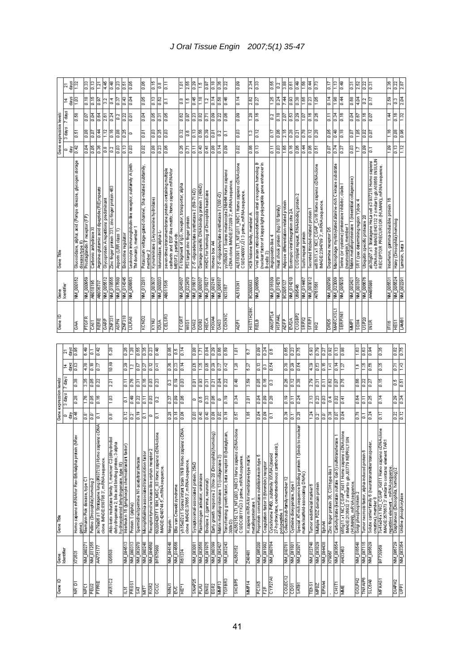| Oene 10             | Gene<br>Identifier     | Gene Title                                                                                                                    | Gene expression levels |                 |                         |                              | 10<br>Sene 10                | Gene<br>Identifier            | Gene Title                                                                                                                                                     |                 | Gene expression levels          |                                   |                             |                |
|---------------------|------------------------|-------------------------------------------------------------------------------------------------------------------------------|------------------------|-----------------|-------------------------|------------------------------|------------------------------|-------------------------------|----------------------------------------------------------------------------------------------------------------------------------------------------------------|-----------------|---------------------------------|-----------------------------------|-----------------------------|----------------|
|                     |                        |                                                                                                                               | ခြ်                    | 3 days          | $\frac{1}{2}$ days      | a s<br>days                  |                              |                               |                                                                                                                                                                | ă<br>5          | 3 days                          | 7 days                            | days<br>4                   | k š            |
| TE 161              | X72631                 | Homo sapiens mRNAfor Rev-ErbAalpha protein (hRev                                                                              | 8.46                   | 28              | õ                       | 8<br>83                      | E                            | NM_000152                     | Glucosidase, alpha; acid (Pompe disease, glycogen storage                                                                                                      | 0.42            | $\frac{5}{2}$                   | 89.0                              | ê                           | $\frac{32}{2}$ |
| E                   | NM 00027               | gene).<br>Niemann-Pick disease, type C1                                                                                       | 3                      | ្រុ             | 3.35                    | 3.<br>4.78                   | <b>PTGFR</b>                 | NM 000959                     | disease type II)<br>Prostaglandin Freeeptor (FP)                                                                                                               | 흥               | ē                               | ē                                 | Ē                           | 8              |
| <b>PELI2</b>        | NM_021255              | Pellino (Drosophila) homolog 2                                                                                                | ē                      | ē               | ē                       | 등<br>e.te                    | CA11                         | <b>RED18195</b>               | Carbonic anhydrase X                                                                                                                                           | 0.05            | SO.O                            | <b>Pela</b>                       | 0.16                        | G.ta           |
| <b>PTPRE</b>        | AA776177               | Ι≨<br>ac79a06.≲1 Stratagene lung (#937210) Homo sapiers ol<br>clone IMAGE:868786 3', mRNAsequence.                            | F                      | Ē               | 2                       | β<br>ভি<br>S                 | RERE<br><b>GARP</b>          | NM_005512<br>AB036737         | Arginine-glutarnic acid dipeptide (RE) repeats<br>Glycoprotein Arepetitions predominant                                                                        | 8<br>ē          | $\frac{1}{4}$<br>$\frac{12}{2}$ | $\frac{1}{2}$<br>$\frac{5}{2.61}$ | <b>181</b><br>$\frac{2}{3}$ | 4.45<br>ē      |
| AKR1C2              | U05598                 | , Aldo-keto reductæs family 1, member C2 (dihydrodiol<br>dehydrogenæse 2; bile acid binding protein; 3-alpha                  | $\frac{81}{2}$         | e               | $\overline{2.21}$       | 5.28<br>$\frac{10.58}{2}$    | ZNF33                        | NM_018555                     | Zinc finger protein 331; zinc finger protein 463                                                                                                               | $\approx$       | 0.16                            | 0.24                              | $\frac{4}{1}$               | 8              |
|                     |                        | hydroxysteroid dehydrogenase, type III)                                                                                       |                        |                 |                         |                              | <b>Nask</b>                  | NM_017680                     | Asportin (LRR class 1)                                                                                                                                         | ē               | ē                               | $\frac{2}{3}$                     | ß                           | ß              |
| gгті                | NM 004513              | Interleukin 16 (lymphocyte chemoatractant factor)                                                                             | 0.12                   | $\overline{a}$  | E                       | 8                            | 2NF318                       | NM 014345                     | Endocrine regulator                                                                                                                                            | E               | 8                               | 2                                 | $\frac{43}{5}$              | ā              |
| PROST               | NM_000313              | Protein S (alpha)                                                                                                             | ē                      | 통               | E                       | 82<br>∣਼                     | LILRAT                       | NM_006863                     | Leukocyte immunoglobulin-like receptor, subfamily A (with<br>TM domain), member 1                                                                              | 80.O            | 0                               | ē,                                | <b>PO.04</b>                | 30.0           |
| i∏<br>5AT           | NM 002970<br>NM 000248 | Spermidine/spermine N1-acetytransferase                                                                                       | Ő.<br>5                | 0.22<br>E       | å.<br>$\overline{0.31}$ | 0.35<br>0.55<br>0.27<br>0.87 | KCND <sub>2</sub>            | NM_012281                     | Potassium voltage-gated channel, Shal-related subfamily,                                                                                                       | 0.02            | ē                               | 0.04                              | 0.05                        | 80.0           |
| ROR2                | NM_004560              | Receptortyrosine kinase-like orphan receptor $2$<br>Morophthalmia-associated transcription factor                             | ∣≏                     | g               | g                       | g<br>Ē                       |                              |                               | member:                                                                                                                                                        |                 |                                 |                                   |                             |                |
| <b>POLO</b>         | BF676980               | 602084207F1 NIH_MGC_83 Homo sapiens oDNAcione<br>IMAGE:4248744 5, mRNAsequence.                                               | 5                      | $\approx$       | 83                      | 0.48<br>$\frac{4}{1}$        | MAX<br><b>AUDI</b>           | <b>NM_000203</b><br>NM 003937 | Kynureninæe (L-kynurenine hydrolæe)<br>Iduronidase, alpha-L                                                                                                    | ē<br>33         | ĝ<br><b>125</b>                 | eg<br>31                          | $\frac{13}{2}$<br>0.52      | Ĕ<br>ß.        |
|                     |                        |                                                                                                                               |                        |                 |                         |                              | CELSR3                       | ABD11536                      |                                                                                                                                                                | 8C              | ã                               | 80.0                              | 5                           | 5              |
| Ē<br>Eνε            | NM_004148<br>NM_014556 | <b>Ellis van Creveld syndrome</b><br>Ninjurin                                                                                 | $\frac{15}{2}$<br>28   | 80.0<br>537     | 0.19<br>B               | 88<br>3<br>8.a<br>33         |                              |                               | seven-times≮ransmembrane protein cortaining multiple<br>cadherin and EGF-like motifs; Homo sapiens mRNAfor<br>MEGF2, partial ods                               |                 |                                 |                                   |                             |                |
| 医                   | R61374                 | ₫<br>yh15e02.s1 Soares infart brain 1NIB Homo sapiers cDN                                                                     | Õ.Ő                    | 8               | ĝ                       | 0.14<br>0.14                 | FCGRT                        | NM 004107                     | Fofragment of IgO, receptor, transporter, alpha                                                                                                                | 26              | 3                               | 3                                 | å                           | 튼              |
|                     |                        | clone IMAGE:376653', mRNA.sequence.                                                                                           |                        |                 |                         |                              | <b>VOINOY</b>                | NM_022470                     | P53 target zinc finger protein                                                                                                                                 | 0.71            | 3.0                             | 0.97                              | ۹                           | $\frac{55}{2}$ |
| SNAP25              | NM 00308               | Synaptosomal-associated protein, 25kD                                                                                         | 8                      | $\circ$         | ēσ                      | ē<br>80.0                    | 0A\$2                        | <b>NM</b> D16817              | 2'-5'-oligoadenylate synthetase 2 (69-71 kD)                                                                                                                   | E               | e.to                            | 33                                | $\frac{45}{5}$              | ē              |
| 툍                   | NM_002658              | Plasminogen activator, urokinase                                                                                              | ड़ि                    | þ               | e                       | E<br>ုး                      | <b>POBZ</b>                  | NM 000107                     | Damage-specific DNAbinding protein 2 (48kD)                                                                                                                    | ड़ि             | g                               | E                                 | E                           | 의              |
| EN <sub>03</sub>    | NM_001975              | Enolase 2, (gamma, neuronal                                                                                                   | $\frac{43}{5}$         | 33              | $\overline{0.31}$       | 0.84<br>86.0                 | <b>HECA</b>                  | NM 016217                     | HHDC for homolog of Drosophila headcase                                                                                                                        | 0.41            | 8                               | 0.71                              | $\frac{1}{2}$               | 3              |
| EGR2                | NM 000399              | Early growth response 2 (Krox-20 (Drosophila) hornolog)                                                                       | O.O8                   | 80.0            | 0.21                    | 870<br>0.29                  | <b>HOXA</b>                  | NM_002141                     | Homeo box A4                                                                                                                                                   | $\frac{8}{10}$  | ē                               | 8                                 | 0.14                        | Ē              |
| MM <sub>13</sub>    | NM_002427              | Matrix metalloproteinase 13 (collagenase 3)                                                                                   | ē                      | l⇔              | ြ<br>高                  | 8                            | <b>DAS3</b>                  | NM 006187                     | $2^\circ\hbox{-}6^\circ$ -oligoadenylate synthetase $3~(100~\hbox{\ensuremath{\mathrm{kD}}})$                                                                  | $\frac{1}{4}$   | Þ                               | 2                                 | 8                           | 8              |
| TGFBR3              | NM_003243              | Transforming growth factor, beta receptor III (betaglycan,<br>300kD)                                                          | $\frac{8}{9}$          | 8. to           | 22                      | B<br>0.42                    | CDKNIC                       | N33167                        | yy35b09.s1_Soares melanocyte.2NbHM Homo sapiens<br>cDNA clone IMAGE:2732093', mRNA sequence.                                                                   | 80.O            | 5                               | 80.O                              | 0.46                        | 3              |
| SH3BP5              | AL562152               | ₫<br>AL662162 LTI_NFL003_NBC3 Homo sapiens oDNAolon<br>C S0 DC001YK23 3 prime, mRNA sequence.                                 | S                      | 34              | l≆<br>I≅                | 팀<br>ē                       | ROPT                         | <b>AL518391</b>               | AL618391 LTI_NFL011_NBC1 Homo sapiens oDNAcione<br>CS0DA009YJ213 prime, mRNAsequence.                                                                          | ē               | e.o                             | 80.O                              | 0.14                        | ē              |
| MMP <sub>14</sub>   | 748481                 | Hisapiers m RNA for membrane type matrix<br>metalloproteinase 1                                                               | ုး                     | ā               | 8                       | G<br>S                       | HISTIH2BK                    | <b>BC000883</b>               | H2B histone family, member A                                                                                                                                   | 18              | 2                               | ē                                 | 28                          | $\frac{34}{3}$ |
| PCSK5               | NM 006200              | Proprotein convertase subtilisin.kexin.type 5                                                                                 | 0.04                   | 0.04            | ē                       | ē<br>E                       | RELB                         | NM_006509                     | (unecuerus eue6 epizied∧od publi eddex) poptet ue repromi).<br>A foroupq eue8oouo jeuno asojjayppueojnojaa uet∧e jeu∽                                          | e.to            | 0.12                            | Ē                                 | $\frac{27}{2}$              | 83             |
| 줨                   | NM_001992              | Coagulation factor II (thrombin) receptor                                                                                     | ē                      | ē               | å                       | 24<br>þ                      |                              |                               | B-cells 3)                                                                                                                                                     |                 |                                 |                                   |                             |                |
| CYP27A1             | NM_000784              | Cytochrome P460, subfamily XXVIIA (steroid<br>27-hydroxylæe, cerebrotendinous xanthomatosis),                                 | 동                      | ē               | B                       | E<br>$\frac{1}{2}$           | <b>ANGPTL4</b>               | NM_016109                     | Angiopoietin-like 4                                                                                                                                            | E               | E                               | d                                 | 25                          | 3              |
|                     |                        | <b>polypeptide</b>                                                                                                            |                        |                 |                         |                              | <b>HSPARL</b>                | NM 014278                     | Heat shock protein (hsp110 family)                                                                                                                             | ē               | ē                               | Ë                                 | 0.24                        | Þ              |
| COLEC <sub>12</sub> | NM_030781              | Collectin sub-family member 12                                                                                                | 3                      | Ę               | 0.26                    | $\frac{8}{6}$<br>82.0        | <b>ADFP</b>                  | BC005127                      | Adipose differentiation-related protein                                                                                                                        | $\frac{85}{20}$ | 2.15                            | 2.07                              | 54                          | 33             |
| CDO1                | NM 001801              | Cysteine dioxygenase, type                                                                                                    | E                      | E               | 0.12                    | 0.23<br>8                    | EV <sub>2A</sub>             | NM 014210                     | Ecotropic viral integration site 2A                                                                                                                            | e.io            | 0.28                            | E                                 | 3                           | ē              |
| $\frac{1}{2}$       | NM_002971              | ā<br>'Special AT-rich sequence binding protein 1 (binds to nucl<br>matrix/scaffold-associating DNAs)                          | 0.28                   | 0.24            | 0.38                    | E<br>0.64                    | <b>CUGBE</b><br><b>SRPX2</b> | NM 014467<br>1089546          | CUG triplet repeat, RNA binding protein 2                                                                                                                      | a≚<br>ē         | 0.78<br>ā                       | B<br>SG.T                         | 38.1<br>88.0                | 통<br>ုး        |
| <b>TENST</b>        | NM_022748              |                                                                                                                               | 124                    | 2.13            | 2.79                    | 3<br>4.39                    | <b>REB</b>                   | NM_003012                     | Secreted frizzled-related protein<br>Sushi-repeat protein                                                                                                      | 18<br>1         | 0.12                            | E                                 | 3                           | la             |
| MPDZ                | NM_003829              | Multiple PDZ domain protein<br>Turnor endothelial marker 6                                                                    | $\tilde{a}$            | 0.23            | 31                      | 67<br>88                     | ¥                            | A761561                       | wi61h11.x1 NCI_CGAP_Co16 Homo sapiens cDNA clone                                                                                                               | 5               | 33                              | 0.26                              | ě                           | E              |
| <b>EPHA4</b>        | NM_004438              | 쒉변                                                                                                                            | ē                      | g               | 등                       | ß<br>å                       |                              |                               | MAGE:2394789 3', mRNA.sequence.                                                                                                                                |                 |                                 |                                   |                             |                |
|                     | X79067                 | Zinc finger protein 36, C3H type-like                                                                                         | 8                      | $\frac{4}{3}$   | 0.62                    | 0.92<br>$\frac{4}{1}$        | Ě                            | NM 000798                     | Dopamine receptor D5                                                                                                                                           | ē               | ē                               | $\overline{0}$ .11                | 0.14                        | E              |
| <b>CHSTT</b>        | NM_003654              | Carbohydrate (keratan sulfate Gal-6) sulfotransferase 1                                                                       | 50.0                   | 0.02            | $\frac{5}{2}$           | e.to<br>0.14                 | <b>MARCKSLT</b>              | NM_023009                     | Macrophage myristoylated alanine-rich C kinase substrate                                                                                                       | 1z              | ∦៖                              | 0.34                              | $\frac{8}{1.98}$            | E              |
| I¥                  | AJ433463               | ti66g11.x1 NCl_CGAP_Kid11 Homo sapiere cDNAclone<br>IMAGE:2136932 3' similarto gb:J03779 NEPRILYSIN<br>(HUMAN), mRNAsequence. | ē                      | हि              | 24                      | 88<br>현                      | <b>SERPINIT</b>              | NM_005025                     | Serine (or cysteine) proteinase inhibitor, clade l<br>(neuroserpin), member 1                                                                                  | 527             | å.                              | 8.TB                              | 0.44                        | \$             |
|                     |                        |                                                                                                                               |                        |                 |                         |                              | <b>NWH</b>                   | NM_002421                     | Matrix metalloproteinase 1 (interstitial collagenase)                                                                                                          | e.o             | $\frac{50}{2}$                  | 0.04                              | 0.68                        | ē              |
| $rac{60P}{R}$       | NM 016548              | Golgi phosphoprotein 2                                                                                                        | ß                      | ē               | ē                       | E<br>Ê                       | g<br>08                      | NM 003107                     | SRY (sex determining region Y) box 4                                                                                                                           | Ξ               | eq<br>1                         | ē                                 | 4.04                        | 33             |
| <b>TNFAIPS</b>      | NM_007115              | Tumor necrosis factor, alpha-induced protein 6                                                                                | 더                      | $\frac{1}{2}$   | ē                       | E<br>$\frac{8}{25}$          | DsP20                        | NM_006676                     | Ubiquitin specific protease 20                                                                                                                                 | ē               | ē                               | å                                 | Þ                           | $\frac{2}{2}$  |
| 810048              | NM_005629              | Solute camerfamily 6 (neurotransmitter transporter,<br>creatine), member 8                                                    | 0.24                   | <b>SZ0</b>      | 27                      | ē<br>80.0                    | <b>INSR</b>                  | 80698999                      | ab38g07.s1 Stratagene HeLa cell s3 837216 Horno sapiers<br>cDNAclone IMAGE:843132 3' similar to gb:A18668 INSULIN<br>RECEPTOR PRECURSOR (HUMAN), mRNAsequence. | 5               | 50.0                            | SO.O                              | $\overline{0.17}$           | 31             |
| MFHAS1              | BF739959               | ψ<br>7o41e04x1 NCl_CGAP_Kid11 Homo sapiens cDNAclon<br>IMAGE:3576678 3' similarto contains element TAR1                       | $\frac{1}{2}$          | $\frac{14}{14}$ | $\frac{16}{2}$          | $\frac{8}{25}$<br>36         |                              |                               |                                                                                                                                                                |                 |                                 |                                   |                             |                |
|                     |                        | repetitive element :, mRNA sequence                                                                                           |                        |                 |                         |                              | Ê                            | NM 006631                     | Interferon, gamma-inducible protein 16                                                                                                                         | ē               | Ê                               | 1.44                              | 2.59                        | $\frac{36}{2}$ |
| $\frac{1}{2}$       | NM_006729              | Diaphanous (Drosophila, homolog) 2                                                                                            | ē                      | ē               | þ                       | ē<br>ā                       | <b>HEST</b>                  | NM_005524                     | Hairy (Drosophila)-homolog                                                                                                                                     | 8,13            | 0.08                            | $\frac{6}{16}$                    | S                           | $\frac{22}{2}$ |
| ē                   | NM_003364              | Undine phosphorylase                                                                                                          | E                      | 0.34            | 50                      | 昌<br>¦≆                      | <b>LAMB1</b>                 | NM_002291                     | Laminin, beta                                                                                                                                                  | E               | e                               | 3                                 | $\frac{1}{2}$               | $\sqrt{2.87}$  |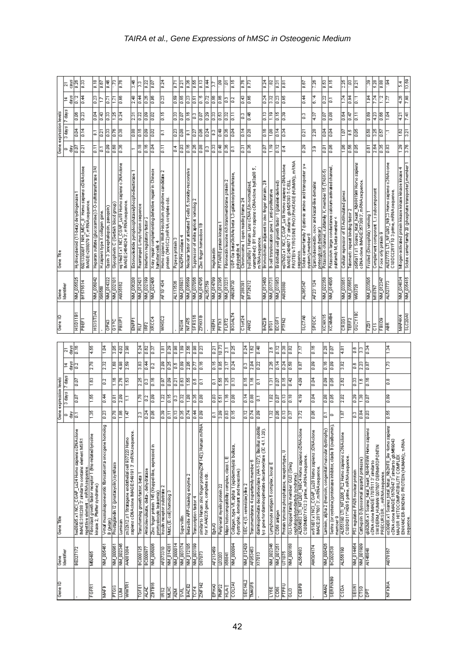| Gene ID          | Gene<br>Identifier     | Gene Title                                                                                                                                            | Gene expression levels        |                                    |                  |                  | a<br>Gene               | Gene<br>Identifier | Gene Title                                                                                                                                  |                     | Gene expression levels |                 |                 |                |
|------------------|------------------------|-------------------------------------------------------------------------------------------------------------------------------------------------------|-------------------------------|------------------------------------|------------------|------------------|-------------------------|--------------------|---------------------------------------------------------------------------------------------------------------------------------------------|---------------------|------------------------|-----------------|-----------------|----------------|
|                  |                        |                                                                                                                                                       | ∘빛                            | 7 days<br>3 days                   | 4                | 치황지              |                         |                    |                                                                                                                                             | ă<br>$\circ$        | 3 days   7 days        |                 | å<br>4          | $\overline{z}$ |
|                  | <b>BE327172</b>        | hw08a05.x1 NCI_CGAP_Lu24 Homo sapiers cDNA.clone<br>IMAGE:3182288-3' similar to contains element MSR1                                                 | ē                             | ē                                  | h                |                  | HSD11B1                 | NM_005525          | Hydroxysteroid (11-beta) dehydrogenase                                                                                                      | 50.0                | lad<br>Ta              | 80.0            | 0.12            | 횖              |
|                  |                        | repetitive element :, mRNA sequence                                                                                                                   |                               |                                    |                  |                  | PBEF1                   | BF575514           | 602133090F1 NH_MGC_81 Homo sapiens cDNAclone<br>MAGE:4288079 5, mRNA sequence.                                                              | 13.0                | 0.14                   | 83              | 0.44            | 83             |
| <b>GFRT</b>      | M60485                 | Fibroblast growth factor receptor 1 (fins-related tyrosine)<br>kinase 2, Pfeiffer syndrome)                                                           | $^{1.35}$                     | E<br>381                           | 2.78             | 4.55             | HS3ST3A                 | NM_006042          | Heparan sulfate (glucosamine) 3-0-sulfotransferase 3.A1                                                                                     | E                   | G                      | 0.04            | 8               | Ē              |
|                  |                        |                                                                                                                                                       |                               |                                    |                  |                  |                         | X08568             | Hisapiers type X collagen gene.                                                                                                             | 등                   | 0.21                   | 8.6             |                 | 0.67           |
| <b>MAFB</b>      | NM_005461              | log<br>$\sim$ maf museuloaponeurotic fibrosamoma oncogene hom<br>(avian)                                                                              | 0.23                          | 20<br>0.44                         | 2.32             | 104              | e<br>Nap                | NM 014322          | Opsin 3 (encephalopsin, panopsin)                                                                                                           | 8                   | 0.33                   | 33              | ā               | 0.46           |
| PTGIS            | <b>NM_000961</b>       | Prostaglandin 12 (prostacyclin) synthase                                                                                                              | 高<br>$\frac{8}{10}$           | Ê                                  | ě                | 3                | <b>OAA</b> <sup>O</sup> | NM 002101          | Glycophorin C (Gerbish blood group)                                                                                                         | ē                   | 1                      | 3               | E               | E              |
| Σ                | <b>PACZ00 PNN</b>      | Lumican                                                                                                                                               | 2.09<br>$^{\frac{186}{1.86}}$ | 2.76                               | $\frac{4.98}{4}$ | ¦ä               | <b>FBXIPT</b>           | A1935162           | wp14e01.x1 NCl_CGAP_Lu19 Homo sapiers cDNAolone<br>IMAGE:2464824 3', mRNA sequence.                                                         | 8.0                 | 88.0                   | 0.24            | 80.0            | <b>P.76</b>    |
| WWWTR:           | 6018064                | zn32h12.s1 Stratagene endothelial cell 937223 Homo<br>sapiens cDNAclone IMAGE:549191 3, mRNAsequence                                                  | $\frac{147}{2}$               | $\frac{53}{2}$<br>Ξ                | 2.59             | $\frac{8}{2.38}$ | ENPT                    | NM_006208          | Ectonuclectide pyrophosphatase/phosphodiesterase                                                                                            |                     | 88                     | 2.31            | $\frac{8}{24}$  | 3.46           |
| <b>TGFBT</b>     | BC000125               | Transforming growth factor, beta 1                                                                                                                    | ß,                            | 2.25<br>31                         | 3                | 5.24             | 딣                       | NM 012421          | Rearranged L-mycitision sequence                                                                                                            | Ē                   | E                      | 32              | $\frac{1}{4}$   | þ              |
| R<br>A           | <b>BC000977</b>        | Aminolevulinate, deta-, dehydratase                                                                                                                   | 0.24                          | S<br>$^{0.2}$                      | 0.44             | 38.0             | IRF2                    | NM 002199          | Interferon regulatory factor 2                                                                                                              | 0.16                | 80.O                   | 0.09            | 0.26            | 22             |
| ZBTB16           | NM_006006              | ≘<br>Zinc finger protein 146 (Kruppel-like, expressed<br>promyelocytic leukernia)                                                                     | ê                             | 0.16<br>ē                          | ្ម               | ß                | XRCC4                   | NM_022406          | X-ray repair complementing defective repair in Chinese<br>hamstercells 4                                                                    | ļξ                  | ē                      | ē               | ê               | ß              |
| IR <sub>S2</sub> | AF073310               | Insulin receptor substrate 2                                                                                                                          | 88                            | ē<br>2                             | ē                | 흼                | WHSC2                   | <b>AF101434</b>    | Homo sapiens Wolf-Hischhom syndrome candid≇e 2<br>protein (WHSC2)mRNA complete ods.                                                         | $\overline{5}$      | 5                      | ă               | 0.23            | $\frac{1}{24}$ |
| <b>MLH3</b>      | ISCÞIO PAN             | MutL (E. coli) hamolog 3                                                                                                                              | $\frac{1}{2}$                 | ē<br>å                             | 8                | ē                |                         |                    |                                                                                                                                             |                     |                        |                 |                 |                |
| R2M              | NM_000014              |                                                                                                                                                       | Ê                             | 31<br>S,                           | å                | ē                |                         | AL117536           | Popeye protein 3                                                                                                                            | $\frac{4}{3}$       | 83                     | 33              | 80              | ā              |
| <b>NNS</b>       | NM_003174              | Supervillin                                                                                                                                           | 0.32<br>36                    | 8                                  | 88               | <b>BS</b>        | <b>NOX4</b>             | <b>NM</b> D16931   | NADPH oxidase 4                                                                                                                             | 0.03                | ē                      | ē               | e               | ē              |
| <b>BACE2</b>     | NM_012105              | Beta-site APP-cleaving enzyme 2                                                                                                                       | 0.74                          | $\frac{55}{20}$<br>$\frac{8}{100}$ | 2.06             | 2.56             | NFAT5                   | NM_006599          | Nuclear factor of activated T-cells 5, tonicity-responsive                                                                                  | $\frac{16}{2}$      | $\overline{5}$         | å               | 670             | 88.0           |
| 려                | NM_003199              | Transcription factor                                                                                                                                  | $\frac{1}{4}$                 | E<br>36                            | ß                | es<br>L          | SFRS16                  | NM 007056          | Suppressor of white apriort homolog 2                                                                                                       | $\frac{26}{5}$      | 53                     | S               | 53              | 3              |
| ZNF 142          | D87073                 | ∤≨<br>similarto Human zinc finger protein(ZNF142); Human m                                                                                            | 80.0<br>ē                     | 5                                  | $\frac{16}{10}$  | 33               | <b>SLXNL</b>            | <b>NM 014795</b>   | Zinc finger homeobox 1B                                                                                                                     | 80.O                | 8Q.O                   | 30              | $\frac{16}{10}$ | e.ta           |
|                  |                        | for KIAA0236 gene, complete ods                                                                                                                       |                               |                                    |                  |                  |                         | AL353759           |                                                                                                                                             | ្ទ                  | 24                     | ē               | D.ZZ            | 0.44           |
| <b>EPHA3</b>     | AF213459               | 医原                                                                                                                                                    | G                             | G<br>ĝ                             | $\frac{15}{20}$  | ā                | 国里                      | NM 014799          | Hephaestin                                                                                                                                  | g                   | $\frac{3}{2}$          | ŝ               | 8               | Þ              |
| PMP22            | 003203                 | Peripheral myelin protein 22                                                                                                                          | S<br>8                        | ြို့                               | ¦≋               | 10.73            | PFTKT                   | NM_012395          | PFTAIRE protein kinase 1                                                                                                                    | ∥ुँ                 | 8.49                   | E               | 86              | e              |
| ₩₩               | X56841                 | ш<br>Major histocompatibility complex, class I,                                                                                                       | 0.83                          | $\frac{8}{125}$<br>er,             | 2.17             | $\frac{1}{2}$    | <b>FLRT2</b>            | NM 013231          | Fibronectin leucine rich transmembrane protein 2                                                                                            | $\frac{36}{2}$      | 88.0                   | 82              | å               | 101            |
| 2007A            | NM_00004               | Collagen, type VII, alpha 1 (epidemolysis bullosa,<br>dystrophic, dominart and recessive)                                                             | E                             | E<br>ē                             | 24               | 3                | <b>B30ALT4</b>          | 40026730           | UDP-GalbetaGloNAo beta 1,3-galactosytransferase,<br>polypeptide 4                                                                           | 등                   | ē                      | ā               | Þ               | E              |
| <b>SEC1412</b>   | NM_012429              | SEC14 (S. cerevisiae)-like 2                                                                                                                          | 0.12                          | 0.15<br>0.14                       | 3                | 0.24             | $C1$ orf24              | AF288391           | Chromosome 1 open reading frame 24                                                                                                          | $\overline{53}$     | <b>Fig</b>             | þ               | 3.0             | E              |
| <b>TM45F6</b>    | AF053453               | Transmembrane 4 superfamily member 6                                                                                                                  | $\frac{4}{1}$                 | Ë<br>ē                             | $\frac{1}{204}$  | ē                | <b>ANIC</b>             | BF726212           | 6<br>unamplified): BY Homo sapiers cDNAcione by03a08<br>by03a08.y1 Human Lars oDNA (Un-normalized,                                          | 0.36                | 0.28                   | $^{46}_{-10}$   | 88.0            | 673            |
|                  | $\frac{20000}{20000}$  | 憎<br>Á<br>diaminopimelate decarboxylase (AA 1-327); Bacillus subt<br>lys gene†ordiaminopimelate decarboxylase (BC 4.1.1.20                            | 80.O                          | 5<br>더                             | E                | P€               | $\frac{1}{2}$           | NM 013450          | Bromodomain adjasent to zinc finger domain, 2B<br>mRNAsequence                                                                              | 50.0                | $\frac{16}{2}$         | 0.13            | 0.24            | $\frac{1}{24}$ |
| <b>Example</b>   | NM_002346              | Lymphocyte antigen 6 complex, locus E                                                                                                                 | ုဒ္                           | ē<br>$\frac{102}{2}$               | 2.26             | 3.               | Ē                       | NM_001731          | B-cell translocation gene 1, anti-proliferative                                                                                             | E                   | ê                      | E               | ß               | 2              |
| CD68             | NM_001251              | CD68 antigen                                                                                                                                          | 2010<br>ē                     | 2010                               | 14               | 0.12             | ECGFT                   | NM_001953          | Endothelial cell growth factor 1 (platelet-derived)                                                                                         | $\frac{12}{2}$      | 0.14                   | $\frac{15}{20}$ | 33              | $\frac{5}{13}$ |
| ETPRL            | U71075                 | Protein tyrosine phosphatase, receptortype, U                                                                                                         | 8.13                          | 0.15<br>ΰ.                         | 0.24             | $\frac{8}{2}$    | PTPN <sub>2</sub>       | 088828M            |                                                                                                                                             | $\frac{1}{4}$       | 0.34                   | 0.39            | 0.65            | 181            |
| STS              | NM_000168              | GLI-Kruppel family member GLI3 (Greig<br>cephalopolysyndactyly syndrome)                                                                              | B                             | 3.42<br>ĴΞ                         | ĕ                | e                |                         |                    | wj37b02 x1 NCl_C6AP_Lu19 Homo sapiers cDNAolone<br>IMAGE:2404971 3' similarto gbM25393 F-CELL<br>PROTEIN-TYROSINE PHOSPHATASE (HUMAN), mRNA |                     |                        |                 |                 |                |
| E                | AL564683               | ğψ<br>AL564683 LTL_NFLD01_NBC4 Homo sapiens cDNAclor<br>CSDDMD07YK123 prime, mRNA sequence.                                                           | $\frac{2}{3}$                 | lat<br>$\frac{1}{2}$               | 18               | 7.17             | 8107,88                 | AL365347           | sequence.<br>Solute camenfamily 7 (cationic amino aciditransporter y+<br>system), member 8                                                  | 87.0                | $\overline{120}$       | ß               | $\frac{1}{4}$   | 0.67           |
|                  | A00304174              | xv61d01x1NCl_CGAP_Lu28 Hamo sapiens cDNA.clone<br>IMAGE:2817601 3', mRNA.sequence.                                                                    | 8                             | 0.04<br>0.04                       | ē                | Ē                | SPOCK                   | AF231124           | Sparc/osteonectin, owev and kazal-like domains<br>proteoglycan (testican)                                                                   | k                   | ä                      | 3               | 6.14            | $\frac{8}{20}$ |
| <b>LAMA2</b>     | NM_000426              | Laminin, alpha 2 (merosin, congenital muscular dystrophy)                                                                                             | 톱                             | ē<br>ē                             | E                | ē                | <b>KCNK15</b>           | NM 022358          | Petassium channel, subfamily K member 15 (TASK-5)                                                                                           | ē                   | lad<br>Ta              | δū              | 0.22            | 8              |
| <b>SERPINES</b>  | BC002538               | Serine (or cysteine) proteinase inhibitor, clade B (ovalbumin),<br>member 9                                                                           | $\circ$                       | 0.05<br>0.05                       | ē                | SO.O             | <b>KCNM94</b>           | NM_014505          | Petassium large conductance calcium-activated channel,<br>subfamily M, beta member 4                                                        | ē                   | ē                      | 80.0            | 5               | E              |
| <b>ESDA</b>      | AL556190               | AL566190 LTL_NFL006_PL2 Homo sapiens cDNA clone<br>CSDDK011YH09 5 prime, mRNA sequence.                                                               | ē<br>581                      | 2                                  | 3.82             | 4.81             | CREGT                   | NM_003851          | Cellular repressor of E1 Astimulated genes                                                                                                  | <b>E</b>            | ē                      | $\frac{1}{164}$ | 1.74            | 2.26           |
| <b>LNS3S</b>     |                        |                                                                                                                                                       |                               |                                    |                  |                  | TERF2                   | NM_005652          | Telomeric repeat binding factor 2                                                                                                           | E                   | 3.0                    | 47              | 0.94            | ê              |
| CTSD             | NM 014454<br>NM_001909 | Cathepsin D (lysosomal aspartyl protease)<br>P53 regulated PA26 nuclear protein                                                                       | 8<br>$\frac{1}{2}$<br>ß       | 3<br>∣≌<br>2                       | 2.23<br>å        | s,<br>p          | <b>GUCY1B3</b>          | 0003728            | zd96a11.s1_Soares_fetal_hear_NbHH1900'Homo sapiens<br>cDNA.clone IMAGE:357308-3', mRNA:sequence.                                            | e                   | ê                      | E               | E               | ā              |
| 톱                | SP8941M                | 쌀                                                                                                                                                     | 2010<br><b>SO.0</b>           | 0.16                               | <b>1810</b>      | 0.34             | ē                       | NM_003605          | Frizzled (Drosophila) homolog                                                                                                               | $\overline{0.81}$   | 89.0                   | 89.0            | $\overline{a}$  | 8              |
|                  |                        | qb92h06.x1 Soares_f∉al_heart_NbHH19W Hxmo sapien<br>cDNA.clone IMAGE:1707611 3' similarto<br>SW:DERM_HUMAN Q07507 DERMATOPONTIN                       |                               |                                    |                  |                  | ã                       | M18767             | Complement component 1, s subcomponent                                                                                                      | $\frac{2.84}{2.84}$ | 3                      | 3               | $\frac{1}{4}$   | ß              |
|                  |                        | PRECURSOR. ; mRNAsequence                                                                                                                             |                               |                                    |                  |                  | FBX09                   | NM 012347          | F-box only protein 9                                                                                                                        | 36                  | S                      | ē               | E               | 18             |
| NFKBIA           | AI078167               | g<br>oz30008.x1 Soares_total_fetus_NB2HF8_9w Homo sapk<br>oDNA olone INAGE 1678847 3' smilar to gb:M89043<br>ENHANCER: BINDING FROTEIN (HUMAN);, mRNA | 0.89<br>0.55                  | β                                  | E                | 1.34             | 屬                       | AL52773            | AL627773 LTL_NFL003_NBC3 Hamo sapiens cDNA.clone<br>CSDDC026YF10 3 prime, mRNA.sequence.                                                    | 3                   | Ξ                      | 104             | E               | İã             |
|                  |                        |                                                                                                                                                       |                               |                                    |                  |                  | <b>MAP4K4</b>           | NM_004834          | Mtogen-activated protein kinase kinase kinase kinase 4                                                                                      | ē                   | $\frac{62}{2}$         | 4.21            | 4.26            | r.             |
|                  |                        | sequence                                                                                                                                              |                               |                                    |                  |                  | <b>SLC20AT</b>          | NM_005415          | Solute carrierfamily 20 (phosphate transporter), member 1                                                                                   | 3                   | 321                    | हि              | $\frac{8}{2}$   | eg<br>F        |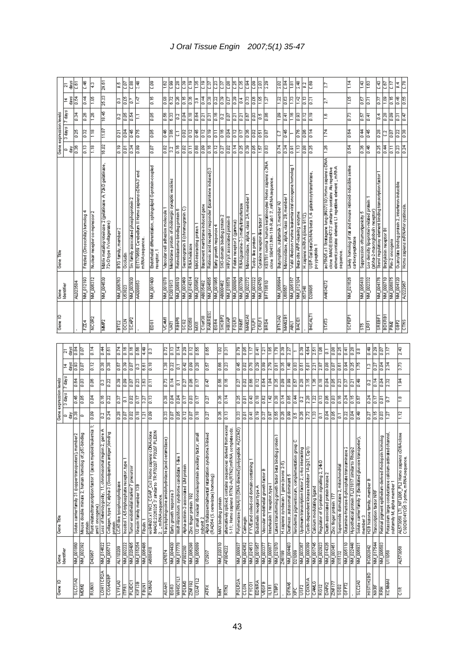|                                      |                    | 정희                                                           | 8.46                                                 | ူ                                                                             | 29.61                                                                                                                                                 | s.                                         | 20.0                                               | 88.0                                        | 뽅                                                                | 8                                                                                                                                 | 1.62                                                                           | 86.6                                              | 8                                                            | 8                                         | E                              | ě                                                                                 | Ē<br>53                                                                                                           | 83                      | 537                                   | ē<br>8                                                                                                                          | 36                                                              | ē                                   | 80.O                                        | g                                                                                          | 229                                                                                                   | 3                                                              | 0.84                                                | $\frac{5}{2}$                                           | ∦ः                                                  | β,                                                                                                                              | 80.0                                                               |                                                | G                                                                                                                  |                                                       |                                                         | $\frac{4}{1}$                                                                                               |                                                                 | 43                             | 3                                                                           | ¦≩<br> a                                                 | $\frac{67}{2}$                                            | 5                                                                                             | ]գ                                                                                                           |
|--------------------------------------|--------------------|--------------------------------------------------------------|------------------------------------------------------|-------------------------------------------------------------------------------|-------------------------------------------------------------------------------------------------------------------------------------------------------|--------------------------------------------|----------------------------------------------------|---------------------------------------------|------------------------------------------------------------------|-----------------------------------------------------------------------------------------------------------------------------------|--------------------------------------------------------------------------------|---------------------------------------------------|--------------------------------------------------------------|-------------------------------------------|--------------------------------|-----------------------------------------------------------------------------------|-------------------------------------------------------------------------------------------------------------------|-------------------------|---------------------------------------|---------------------------------------------------------------------------------------------------------------------------------|-----------------------------------------------------------------|-------------------------------------|---------------------------------------------|--------------------------------------------------------------------------------------------|-------------------------------------------------------------------------------------------------------|----------------------------------------------------------------|-----------------------------------------------------|---------------------------------------------------------|-----------------------------------------------------|---------------------------------------------------------------------------------------------------------------------------------|--------------------------------------------------------------------|------------------------------------------------|--------------------------------------------------------------------------------------------------------------------|-------------------------------------------------------|---------------------------------------------------------|-------------------------------------------------------------------------------------------------------------|-----------------------------------------------------------------|--------------------------------|-----------------------------------------------------------------------------|----------------------------------------------------------|-----------------------------------------------------------|-----------------------------------------------------------------------------------------------|--------------------------------------------------------------------------------------------------------------|
|                                      | ≠                  | 뽏                                                            | 0.44                                                 | $\frac{8}{26}$                                                                | 25.23                                                                                                                                                 | å                                          | 80.0                                               | G                                           | 1.47                                                             | ξ                                                                                                                                 | 88.0                                                                           | I                                                 | 8                                                            | $\frac{15}{2}$                            | 8                              | ី                                                                                 | 0.44<br>$\frac{38}{2}$                                                                                            | 0.22                    | 83                                    | E<br>20TO                                                                                                                       | $\frac{4}{1}$                                                   | 6.73                                | 8                                           | ုး                                                                                         | $\overline{z}$                                                                                        | 2                                                              | 83                                                  | S                                                       | 1a                                                  | e.                                                                                                                              | 31                                                                 |                                                | ្ត                                                                                                                 |                                                       |                                                         | eari                                                                                                        |                                                                 | B                              | 동                                                                           | 250                                                      | <b>BS</b>                                                 | $\frac{16}{2}$                                                                                | ¦€<br>0.55                                                                                                   |
|                                      | 7 days             | $\frac{64}{34}$                                              | 8                                                    | 8                                                                             | 18.45                                                                                                                                                 | $\approx$                                  | 80.0                                               | 高                                           | Ξ                                                                | eg<br>I                                                                                                                           | 0.56                                                                           | 6.33                                              | E                                                            | 0.04                                      | 0.18                           | 0.64                                                                              | 3<br>3                                                                                                            | $\frac{16}{2}$          | $\frac{2}{3}$                         | B<br>협                                                                                                                          | 집                                                               | <b>SSO</b>                          | ê                                           | å                                                                                          | 88.0                                                                                                  | ē                                                              | 0.41                                                | Ĕ                                                       | E                                                   | 0.12                                                                                                                            | 81.0                                                               |                                                | $\frac{6}{1}$                                                                                                      |                                                       |                                                         | E                                                                                                           |                                                                 | S                              | $\frac{41}{3}$                                                              | $\frac{4}{4}$                                            | 0.28                                                      | ē                                                                                             | ā<br>147                                                                                                     |
| Gene expression levels               | 3 days             | 20                                                           | 0.32                                                 | $\frac{8}{118}$                                                               | 11.87                                                                                                                                                 | $\overline{0.21}$                          | 0.04                                               | 0.45                                        | E                                                                | 8                                                                                                                                 | 8.46                                                                           | 3.86                                              | 등                                                            | 30.0                                      | 0.12                           | 0.45                                                                              | 0.19<br>0.12                                                                                                      | 5                       | $\frac{16}{2}$                        | ē<br>0.12                                                                                                                       | Γī                                                              | 8                                   | 30.0                                        | 50                                                                                         | $\frac{2}{3}$                                                                                         | S                                                              | 0.45                                                |                                                         | ß                                                   | 8                                                                                                                               | 0.14                                                               |                                                | $\frac{1}{2}$                                                                                                      |                                                       |                                                         | ē                                                                                                           |                                                                 | 0.44                           | 봉                                                                           | $\frac{28}{2}$                                           | 2                                                         | ē                                                                                             | g<br>38                                                                                                      |
|                                      | 0                  | 晶                                                            | 0.13                                                 | ΪÎ                                                                            | 16.02                                                                                                                                                 | e: 0                                       | ē                                                  | 0.34                                        | ē                                                                | SO.O                                                                                                                              | 0.82                                                                           | ី                                                 | Ē                                                            | $\frac{20}{2}$                            | $\overline{0}$ .11             | 89.0                                                                              | 0.16<br>ē                                                                                                         | $\frac{12}{2}$          | $\overline{0.27}$                     | $\frac{4}{14}$<br>ē                                                                                                             | <b>BZ0</b>                                                      | ē                                   | e                                           | 인                                                                                          | 83                                                                                                    | $\frac{1}{2}$                                                  | 0.34                                                | ā                                                       | E                                                   | ē                                                                                                                               | 0.25                                                               |                                                | $\frac{26}{2}$                                                                                                     |                                                       |                                                         | 0.54                                                                                                        |                                                                 | 8                              | 8.46                                                                        | 0.25                                                     | 0.44                                                      | $\overline{0.11}$                                                                             | 124<br>미<br>0.23                                                                                             |
| Gene Title                           |                    |                                                              | 4<br>Frizzled (Drosophila) homolog                   | Nuclear receptor co-repressor                                                 | Matrix metalloproteinæe 2 (gelatinæe A,72kD gelatinæe.<br>72kDtype IVcollagenæe)                                                                      | BTG family, member 2                       | <b>Deeludin</b>                                    | Sro family associated phosphoprotein 2      | EST179659 Cerebellum II Homo sapiens cDNA3' end<br>mRNAsequence. | Endothelial differentiation, sphingolipid G-protein-coupled<br>receptor, 1                                                        | Vascular cell adhesion molecule                                                | Membrane protein of cholinergic synaptic vesicles | Retinoblastoma-binding protein 6                             | Secretogranin II (chromogranin C)         | <b>RNA helicase</b>            | MAX-interacting protein                                                           | Retinoio acid receptor responder (tazarotene induced) 3<br>Basement membrane-induced gene                         | Early growth response 4 | SH3-domain binding protein 2          | HBV pX associated protein-8<br>Folate receptor 3 (gamma)                                                                        | RNA(guanine-7-) methytransferase                                | Mannosidase, alpha, class 2A member | Tubby like protein                          | Cytokine receptor-like factor                                                              | KEST81 normal human keratinooytes Homo sapiers cDNA.<br>clone S90413.NIH-116-R.ab1 3., mRNA sequence. | Butyrophilin, subfamily 3, member A3                           | Mannosidase, alpha, dass 2B, member                 | V-abl Abelson murine leukernia viral oncogene homolog 1 | Beta-site APP-cleaving enzyme                       | H.sapiers m RNA (clone 9112)                                                                                                    | UDP-Gal:betaGloNAo beta 1,4-galactosytransferase,<br>polypeptide 1 |                                                | ao75h05.s1 Stratagene lung (#937210) Homo sapiers cDNA.<br>olone IMAGE:868473.3' similarto contains Alu repetitive | element pontains element L1 repetitive element ; mRNA | sequence                                                | Likely homolog of rat and mouse retinoid-inducible seme<br>carboxypeptidase                                 |                                                                 | Suppression oftumorigeniaity 5 | Low density lipoprotein-related protein<br>(alpha-2-macroglobulin receptor) | Sterol regulatory element binding transcription factor 1 | Bradykinin receptor B1                                    | Pim-2 oncogene                                                                                | Guanylate binding protein 2, interferon-inducible<br>Homo sapiens mRNAfor oystinosin                         |
|                                      | Gene<br>Identifier | AL023584                                                     | NM_012193                                            | NM_006312                                                                     | NM_004530                                                                                                                                             | NM_006763                                  | U63823                                             | NM 003930                                   | AA308853                                                         | NM_001400                                                                                                                         | NM_001078                                                                      | <b>BC001913</b>                                   | NM 006910                                                    | NM 003469                                 | NM 014314                      | NM 005962                                                                         | NM 004585<br>AB035482                                                                                             | NM_001965               | AB000462                              | NM 016578<br>NM_000804                                                                                                          | NM_003799                                                       | NM_002372                           | NM 003322                                   | NM_004750                                                                                  | BF718610                                                                                              | NM_00694                                                       | U68567                                              | NM 005157                                               | NM_012104                                           | 882348                                                                                                                          | D29805                                                             |                                                | AA634272                                                                                                           |                                                       |                                                         | NM_021626                                                                                                   |                                                                 | NM 005418                      | NM_002332                                                                   | NM_004176                                                | NM_000710                                                 | NM_006875                                                                                     | NM_004120<br>AJ222867                                                                                        |
| 1<br>Sere                            |                    |                                                              | FZI <sub>4</sub>                                     | NCOR2                                                                         | MMP <sub>2</sub>                                                                                                                                      | e<br>E                                     | <b>RISO</b>                                        | $rac{2}{3}$                                 |                                                                  | iogi                                                                                                                              | ইংশ                                                                            | <b>SAT1</b>                                       | RBBP6                                                        | SC62                                      | poxes                          | MXI1                                                                              | RARRES3<br>C1orf38                                                                                                | EGR4                    | <b>CHSOHS</b>                         | <b>Rosel</b><br><b>FOLR3</b>                                                                                                    | RNMT                                                            | MAN2A                               | Ē                                           | CRLFT                                                                                      | BRD4                                                                                                  | BTN3A3                                                         | MAN2B1                                              | 三灵                                                      | BACET                                               |                                                                                                                                 | B4GALT1                                                            |                                                | <b>STATS</b>                                                                                                       |                                                       |                                                         | <b>REAGS</b>                                                                                                |                                                                 | န္တ                            | E                                                                           | SREBFT                                                   | <b>BOKRB</b>                                              | <b>PINC</b>                                                                                   | GBP2<br><b>CTNS</b>                                                                                          |
|                                      |                    |                                                              |                                                      |                                                                               |                                                                                                                                                       |                                            |                                                    |                                             |                                                                  |                                                                                                                                   |                                                                                |                                                   |                                                              |                                           |                                |                                                                                   |                                                                                                                   |                         | ē                                     | ē                                                                                                                               | E                                                               | 80.0                                | E                                           | 통<br>៊ុ                                                                                    | 3                                                                                                     | <u>i 78</u>                                                    | 83                                                  | 227                                                     | 83                                                  | 4.84                                                                                                                            | 2.51                                                               | ê                                              | G                                                                                                                  | e<br>0.08                                             |                                                         |                                                                                                             |                                                                 |                                |                                                                             | 87.0                                                     | ã                                                         | ā                                                                                             | ¦३                                                                                                           |
|                                      |                    |                                                              |                                                      |                                                                               |                                                                                                                                                       |                                            |                                                    |                                             |                                                                  |                                                                                                                                   |                                                                                |                                                   |                                                              |                                           |                                |                                                                                   |                                                                                                                   |                         |                                       |                                                                                                                                 |                                                                 |                                     |                                             |                                                                                            |                                                                                                       |                                                                |                                                     |                                                         |                                                     |                                                                                                                                 |                                                                    |                                                |                                                                                                                    |                                                       |                                                         |                                                                                                             |                                                                 |                                |                                                                             |                                                          |                                                           |                                                                                               |                                                                                                              |
|                                      | h š<br>İ4          | ≋0                                                           | B                                                    | 0.14                                                                          | lai<br>ē                                                                                                                                              | ļξ                                         | e.                                                 | 8                                           | 8<br>∥ङ                                                          | ្ជ                                                                                                                                | 6.72                                                                           | S.                                                | 0.14                                                         | 8                                         | 0.12                           | 83                                                                                | E                                                                                                                 |                         |                                       |                                                                                                                                 |                                                                 |                                     |                                             |                                                                                            |                                                                                                       |                                                                |                                                     |                                                         |                                                     |                                                                                                                                 |                                                                    |                                                |                                                                                                                    |                                                       | 0.25                                                    | 82.0<br>E                                                                                                   | ឹ                                                               |                                | E<br>≌                                                                      |                                                          |                                                           |                                                                                               |                                                                                                              |
|                                      |                    | days<br>E                                                    | δū                                                   | 0.12                                                                          | 38<br>88.0                                                                                                                                            | B                                          | 0.39                                               | ā,                                          | 3                                                                | 0.18<br>$\frac{5}{6}$                                                                                                             | <b>E</b>                                                                       | 0.22                                              | 5                                                            | e<br>145                                  | 80.0                           | 8                                                                                 | $\frac{57}{2}$                                                                                                    |                         | 88.0                                  | 33                                                                                                                              | $\frac{45}{5}$                                                  | 0.02                                | õ                                           | <b>8Z0</b><br>88.0                                                                         | 2.79                                                                                                  | $\frac{5}{2}$                                                  | 88                                                  | 1.48                                                    | E<br>0.51                                           | 5                                                                                                                               | 2.21                                                               | 287                                            | ē                                                                                                                  | So.o                                                  | 0.81                                                    | Į≊<br>32.0                                                                                                  | 1.75                                                            |                                |                                                                             | 0.27                                                     | 0.04                                                      | 1ž                                                                                            | 3.73                                                                                                         |
|                                      | 7 days             | 0.64                                                         | go                                                   | 80.0                                                                          | ē<br>ß                                                                                                                                                | 8                                          | 0.09                                               | $\frac{50}{2}$                              | E                                                                | 3.63<br>Б,                                                                                                                        | 67                                                                             | 0.14                                              | ā                                                            | ß                                         | 80.0                           | 5.i                                                                               | e<br>E                                                                                                            |                         | 89.0                                  | Ē                                                                                                                               | 0.27                                                            | 0.02                                | e<br>G                                      | 0.64<br>$\frac{12}{2}$                                                                     | 1.04                                                                                                  | 36                                                             | ē<br>80.0                                           |                                                         | <b>0.28</b><br>S                                    | ြို့                                                                                                                            | $^{1.36}$                                                          | ξ                                              | ē                                                                                                                  | eang                                                  | 0.23                                                    | $\overline{0.21}$<br>B                                                                                      | 8.49                                                            |                                | 2                                                                           | 0.14                                                     | 0.04                                                      | 3                                                                                             | ड़ि                                                                                                          |
|                                      | 3 days             | $\frac{45}{6}$                                               | 80.0<br>$\circ$                                      | 0.04                                                                          | Ē<br>8                                                                                                                                                | 37                                         | Ξ                                                  | $\frac{20}{2}$                              | E                                                                | 0.13<br>$\overline{3.27}$                                                                                                         | 8                                                                              | 0.04                                              | 0.04                                                         | E                                         | g                              | 5                                                                                 | $\overline{50}$                                                                                                   |                         | 0.36                                  | $\frac{14}{14}$                                                                                                                 | <b>BED</b>                                                      | 5                                   | ≆<br>                                       | Ē<br>0.62                                                                                  | $\frac{42}{3}$                                                                                        | 8                                                              | 0.14<br>38                                          |                                                         | $\frac{1}{4}$<br>$\approx$                          | $\frac{8}{2}$                                                                                                                   | $\frac{22}{2}$                                                     | E                                              | 18                                                                                                                 | ē                                                     | <b>C.16</b>                                             | 0.24<br>e.io                                                                                                | 0.57                                                            |                                | 24                                                                          | $\frac{17}{2}$                                           | ā                                                         | Γ                                                                                             | $\frac{8}{10}$                                                                                               |
| Gene expression levels<br>Gene Title | ⊲តូ                | ē<br>ю<br>Solute camerfamily 31 (coppertransporters), member | Mouse double minute 2, human homolog of: p53-binding | 80.0<br>protein<br>Runt-relatedtranscription factor 1 (acute myeloid leukemia | 124<br>2<br>Loss of heterozygosity, 11, chromosomal region 2, gene A<br>lΞ<br>Collagen, type IV, alpha 3 (Goodpasture antigen) bind<br>ami1 oncogene) | ē<br>protein<br>LCAT-like lysophospholipæe | 50.0<br>Inositol 1,4,5-triphosphate receptor, type | 0.02<br>Tumor endothelial marker? precursor | Ē<br>Kinesin family member 138<br>Fibulin <sub>1</sub>           | 80.0<br>$\overline{121}$<br>we94h03.x1 NCl_C6AP_Co3 Homo sapiers cDNA.clone<br>IMAGE:2328326 3' similarto TR:P70207 P70207 PLEXIN | 33<br>N-acylsphingosine amidohydrolase (acid ceramidase)<br>2. ; mRNAsequence. | 0.07<br>Early growth response 3                   | $\frac{8}{10}$<br>Wolf-Hirschhom syndrome candidate 1-like 1 | Ē<br>Apha-actinin-2-associated UM protein | 0.07<br>Zno finger protein 192 | 0.18<br>靑<br>U2 small nuclear ribonucleoprotein auxiliary factor, sm<br>subunit 2 | $\overline{120}$<br>١s<br>Alpha thalassemialmental retardation syndrome X-link<br>(RAD64 (S. cerevisiae) homolog) |                         | $\frac{36}{2}$<br>MAX binding protein | E<br>rexors<br>e ods.<br>alternatively spliced; contains sequences derived from<br>1-11; Homo sapiens RTN2-A(RTN2)mRNA complete | 83<br>k<br>Polymerase (RNA) II (DNA directed) polypeptide A (22 | 0.01<br>Calmegin                    | E<br>FYVE and colled-coil domain cortaining | $\frac{1}{2}$<br>0.37<br>Vascular endothelial growth factor B<br>Endothelin receptortype A | <b>1810</b><br>Interleukin 1 receptor, type I                                                         | 89.0<br>Latent transforming growth factor beta binding protein | 0.26<br>ē<br>H.sapiers syndecan-1 gene (exors 2-5). | Deafness, autosomal dominant 5                          | þ<br>Xeroderma pigmentosum, complementation group C | $\frac{1}{2}$<br>0.26<br>Cyclin-dependent kinase inhibitor 1A (p21, Cip1)<br>Upstream transcription factor 2, c-fos interacting | E<br>Calcium modulating ligand                                     | Ե<br>Regulator of G-protein signalling 2, 24kD | ē<br>Death-associated protein kinase 2                                                                             | egio<br>Zine finger protein 177                       | $\overline{a}$<br>Superoxide dismutase 2, mitochondrial | 흥<br>23<br>Glutamine-fructose-6-phosphate transaminase 2<br>Hypothetical protein FLI21817 similar to Rhoip2 | \$<br>Solute carrier family 2 (facilitated glucose transporter) | member 3                       | ß<br>H2B histone family, member B                                           | 0.15<br>Transcription factor NRF                         | ã<br>Retinal pigment epithelium-derived rhodopsin homolog | ়ি<br>亘<br>Potassium large conductance calcium-activated chann<br>subfamily M, alpha member 1 | $\frac{1}{2}$<br>2<br>AL573058 LTI_NFL006_PL2 Hamo sapiens cDNA.clo<br>C SDDID14YC05 3 prime, mRNA.sequence. |
|                                      | Gene<br>Identifier | NM_001860                                                    | NM 002392                                            | D43967                                                                        | NM_014622<br>NM_005713                                                                                                                                | <b>AL110209</b>                            | NM_002222                                          | NM_020405                                   | NM_016264<br>NM_006486                                           | AI688418                                                                                                                          | U47674                                                                         | NM_004430                                         | NM_017778                                                    | AF002280                                  | NM_006298                      | NM_005089                                                                         | $\overline{072937}$                                                                                               |                         | NM 020310                             | AF004222                                                                                                                        | <b>KIM_000937</b>                                               | NM 004362                           | NM_024513                                   | NM_001957<br>NM_00377                                                                      | NM_000877                                                                                             | NM_021070                                                      | NM_004403<br>248199                                 |                                                         | NM 003367<br>D21089                                 | NM_000389                                                                                                                       | <b>SPZ100 PNN</b>                                                  | NM 002923                                      | NM_014326                                                                                                          | NM_003461                                             | X15132                                                  | NM_005110<br>NM_022448                                                                                      | 18900 MN                                                        |                                | <b>BC002842</b>                                                             | NM_017544                                                | <b>ESS900 PIN</b>                                         | U11058                                                                                        | AL573058                                                                                                     |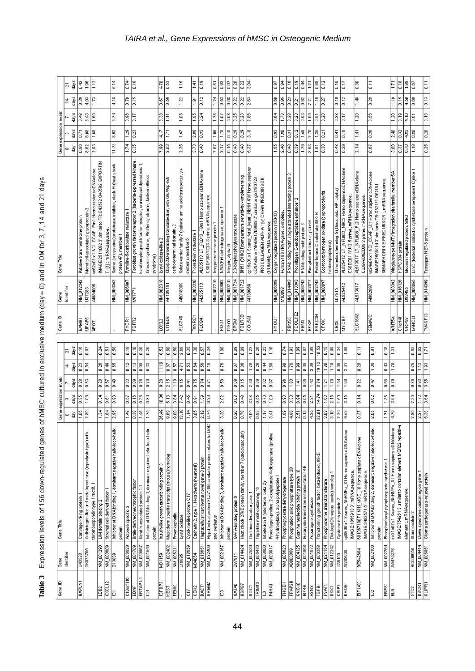Table 3 Expression levels of 156 down-regulated genes of hMSC cultured in exclusive medium (day = 0) and in OM for 3, 7, 14 and 21 days.

| Gene ID               | Ğene                   | Gene Title                                                                              |                          | Gene expression levels |                       |                        |                   | Gene ID                | Ğene                  | Gene Title                                                                                |                  | Gene expression levels |                 |                 |                 |
|-----------------------|------------------------|-----------------------------------------------------------------------------------------|--------------------------|------------------------|-----------------------|------------------------|-------------------|------------------------|-----------------------|-------------------------------------------------------------------------------------------|------------------|------------------------|-----------------|-----------------|-----------------|
|                       | Identifier             |                                                                                         | $\circ$                  | ø                      |                       | ä,                     | ă                 |                        | Identifier            |                                                                                           | 0                |                        |                 | 4               | Ν               |
|                       |                        |                                                                                         | ਚੋਂ                      | days                   | days                  | days                   | ågis              |                        |                       |                                                                                           | ğ                | days                   | days            | ğ               | åpis            |
| <b>HAPLN1</b>         | U43328                 | Cartilage linking protein                                                               | ă,                       | 0.36                   | 0.28                  | 0.23                   | $\frac{16}{10}$   | <b>BAMBI</b>           | NM_012342             | Putative transmembrane protein                                                            | 86.0             | 0.71                   | 0.48            | 0.36            | 0.42            |
|                       | AK023795               | A disintegrin-like and metalloprotease (reprolysin type) with                           | 2.80                     | 90.1                   | 83                    | 0.54                   | 0.62              | MFAP5                  | U37283                | Morofibril-associated glycoprotein-2                                                      | 8.62             | 6.08                   | 5.43            | 4.03            | $\frac{8}{2}$   |
|                       |                        | thrombospondin type 1 motif, 1                                                          |                          |                        |                       |                        |                   | ।<br>बाह्              | A084005               | ut52c06 x1 NCI_CGAP_Pan1 Homo sapiens cDNAclone                                           | 283              | E                      | 1.80            | ß               | Ē               |
| <b>Bed</b>            | NM_001290              | LIM dorrain binding 2                                                                   | 134                      | 0.34                   | 0.28                  | 0.26                   | $\frac{1}{24}$    |                        |                       | MAGE25110823' similarto TR:043592 043592 EXPORTIN                                         |                  |                        |                 |                 |                 |
| CXCL12                | NM_000609              | Stromal cell-derived factor                                                             | 1.84                     | 0.61                   | 0.57                  | 0.49                   | 0.51              |                        |                       | T. [1]: mRNAsequence.                                                                     |                  |                        |                 |                 |                 |
| İΞ                    | <b>B880</b>            | Inhibitor of DNAbinding 1, dominant negative helix-loop-helix<br>protein                | 38                       | 86.0                   | $\frac{40}{3}$        | 8                      | 89.0              |                        | NM_004353             | Serine (or cysteine) proteinase inhibitor, clade H (heat shook<br>$protein$ 47), member 1 | E                | 3                      | 5.74            | 4.18            | 5.14            |
| C10orf116             | NM_006829              | Adipose specific 2                                                                      | 4.48                     | 0.57                   | 33                    | 0.12                   | $\frac{8}{16}$    | PYCRT                  | NM 006907             | Pyrroline-5-carboxylate reductase                                                         | 1.74             | $\frac{29}{2}$         | 86.0            | 0.70            | 0.74            |
| Ĕ                     | NM_001709              | Brain-derived neurotrophic factor                                                       | 8                        | Ē                      | k                     | E                      | lå                | FGFR2                  | 122599                | Fibroblast growth factor receptor 2 (bacteria-expressed kinase,                           | 13               | g                      | E               | å               | E               |
| KRTAP1-1              | NM_030967              | Keratin associated protein 1.                                                           | 1.46                     | 88.0                   | 0.26                  | 0.08                   | 8                 |                        |                       | keratinocyte growth factor receptor, craniofacial dysostosis 1,                           |                  |                        |                 |                 |                 |
| <u>효</u>              | NM_001546              | Inhibitor of DNAbinding 4, dominant negative helix-loop-helix                           | č.                       | 0.86                   | 83                    | 0.33                   | 0.20              |                        |                       | Crouzon syndrome, Pfeiffer syndrome, Jackson-Weiss                                        |                  |                        |                 |                 |                 |
|                       |                        | protein                                                                                 |                          |                        |                       |                        |                   |                        |                       | syndrome)                                                                                 |                  |                        |                 |                 |                 |
| 16FBP3                | M31159                 | Insulin-like growth factor binding protein 3                                            | 26.49                    | 10.06                  | 9.28                  | 11.10                  | 8.52              | <b>CITED?</b><br>LOXL2 | NM_002318<br>AF109161 | Lysyl oxidase-like 2                                                                      | $\frac{3}{2}$    | 4.17                   | 3.38            | 3.67            | $rac{20}{3}$    |
| <b>FENK</b><br>MEST   | NM_006211<br>NM_002402 | Mesoderm specific transcript (mouse) homolog<br>Proenkephalin                           | 8,68<br>9.00             | 3.84<br>5.13           | 2.16<br>1.10          | 0.87<br>0.57           | 0.60<br>0.50      |                        |                       | Cbp/p300-interacting transactiv alor, with Glu/Asp-rich<br>carboxy-terminal domain, 2     |                  | Ę                      | Ę               | 3               |                 |
|                       | L16895                 | Lysyl oxidase                                                                           | 13.18                    | 7.42                   | $\frac{16}{16}$       | 4.71                   | 2.68              | <b>SLC7A5</b>          | AB018009              | Solute carrier family 7 (cationic amino acid transporter, y+                              | 2.35             | 1.57                   | $\frac{8}{100}$ | $\frac{22}{2}$  | Ë               |
| ã                     | NM_018659              | Cytokine-like protein C17                                                               | 1.14                     | 0.45                   | $\frac{4}{1}$         | 8                      | 36                |                        |                       | system), member 5                                                                         |                  |                        |                 |                 |                 |
| CDH2                  | M34064                 | Cadherin 2, type 1, N-cadherin (neuronal)                                               | 3.05                     | 5.0                    | 0.76                  | 0.64                   | $\frac{30}{2}$    | <b>TXNRDT</b>          | NM_003300             | Thioredoxin reductase 1                                                                   | 3.73             | 2.88                   | $\frac{85}{2}$  | $\frac{5}{2}$   | 1.41            |
| <b>SACTI</b>          | NM_016651              | Heptacellular carcinoma novel gene-3 protein                                            | $\frac{12}{212}$         | $\frac{3}{2}$          | 0.74                  | 80.0                   | S                 | PLCB4                  | AL535113              | AL535113 LTLFL013_FBm1 Homo sapiens cDNA olone                                            | 0.43             | 0.33                   | 0.24            | 0.12            | $\frac{9}{2}$   |
| GREMZ                 | NM_022469              | ß<br>Hypothetical protein FLJ21195 similarto protein related to                         | 0.74                     | $\frac{26}{5}$         | 0.21                  | $\frac{6}{5}$          | 0.34              |                        |                       | CSODF008YC23 3 prime, mRNA sequence.                                                      |                  |                        |                 |                 |                 |
|                       |                        | and cerberus                                                                            |                          |                        |                       |                        |                   |                        | NM_002219             | Integralmembrane protein                                                                  | 2.67             | $\frac{95}{2}$         | 1.78            | 124             | 6.81            |
| ã                     | NM_002167              | Inhibitor of DNAbinding 3, dominant negative helix-loop-helix                           | 3.30                     | 2.02                   | 8.50                  | 0.76                   | 9                 | NQO1                   | NM_000903             | NAD(P)H dehydrogenase, quinone 1                                                          | 2.17             | 1.78                   | $\frac{5}{2}$   | 88              | 0.93            |
|                       |                        | protein                                                                                 |                          |                        |                       |                        |                   | ITGA6                  | NM_000210             | Integrin, alpha 6                                                                         | 0.15             | $\frac{10}{10}$        | 0.08            | $\frac{8}{9}$   | 3.07            |
| <b>BK10</b>           | $\frac{1}{187811}$     | GATA-binding protein 6                                                                  | e<br>G                   | 0.08                   | $\frac{0.09}{2}$      | 0.07                   | le<br>le          | <b>BEGM</b>            | NM_001724             | 2,3-bisphosphoglycerate mutase                                                            | ∣ଞ୍              | 3                      | 3               | 3               | 18              |
| ZGHSH                 | NM_014424              | Heat shock 27kD protein family, member 7 (cardiovascular                                | 276                      | 0.48                   | $\frac{15}{2}$        | 8                      | 1ŝ                | <b>POLR3D</b>          | NM_001722             | BN51 (BHK21)temperature sensitivity complementing                                         | 8.               | 0.29                   | 0.23            | 0.22            | 0.22            |
| ē                     | NM_002539              | Omithine decarboxylase                                                                  | 4.64                     | $\frac{8}{3.08}$       | 2.30                  | 29                     | ≌                 | COLSAT                 | AI130969              | political via Soares_fetal_heart_NbHH1900 Homo sapiens                                    | 537              | $\frac{8}{3}$          | 2.86            | 2.83            | 3.04            |
| <b>TRIM16</b>         | NM_006470              | Tripartite motif-containing 16                                                          | 83                       | 0.55                   | 83                    | 0.26                   | 8                 |                        |                       | cDNAdone IMAGE17096883' similar to gb:M76729                                              |                  |                        |                 |                 |                 |
| ≌                     | NM_000600              | Interleukin 6 (interferon, beta 2)                                                      | E.                       | 67.0                   | 0.62                  | 0.44                   | 33                |                        |                       | PROCOLLAGEN ALPHA 1(V) CHAN PRECURSOR<br>(HUMAN); mRNA sequence.                          |                  |                        |                 |                 |                 |
| <b>RAHAT</b>          | NM_000917              | Procollagen-proline, 2-oxogutarate 4-dioxygenase (proline                               | 3.41                     | ē                      | 0.97                  | ē                      | $\frac{16}{116}$  | HY OUT                 | NM_006389             | Oxygen regulated protein (150kD)                                                          | <b>SS</b>        | 3                      | 3.64            | 8.60            | 3               |
| <b>HIGPL</b>          |                        | 4-hydroxylase), alpha polypeptide I                                                     |                          |                        |                       |                        |                   |                        | M10098                | Human 188 rRNAgene, complete.                                                             | 2.46             | $\frac{8}{1}$          | 1.73            | 8.0             | 0.94            |
| PPAP2B                | NM_006623              | Phosphoglycerate dehydrogenase                                                          | 88<br>1                  | 3                      | 8.0                   | 8.0                    | 0.74<br>E         | RBMS3                  | NM_014483             | RNAbinding motif, single stranded interacting protein 3                                   | 0.43             | 0.31                   | 0.28            | 83              | 8               |
| GNG10                 | AB000889               | Phosphatidic acid phosphatase type 2B                                                   | 4.88                     | 3.30                   | <b>e</b>              | 1.78<br>86.0           |                   | <b>FCOLCED</b>         | NM_013363             | Procollagen C-endopeptidase enhancer 2                                                    | 83               | 0.12                   | 0.23            | 0.21            | $\frac{8}{10}$  |
| <b>EF4E</b>           | NM_001968<br>NM_004125 | Eukaryotic translation initiation factor 4E<br>Guanine nucleotide binding protein 10    | 0.13<br>$\frac{1}{2.51}$ | 0.94<br>0.OS           | 80.0<br>$\frac{1}{4}$ | 0.05                   | ē<br>0.07         | RBMS                   | NM 006743             | RNAbinding matif pratein 3                                                                | $\frac{8}{1.76}$ | <b>SS.1</b>            | 3.93            | 0.62            | 0.44            |
| ASNS                  | NM_001673              | Asparagine synthetase                                                                   | 4.35                     | $\frac{5}{2}$          | ia.                   | 2.09                   | $\frac{38}{1}$    | PFKP                   | NM_002627             | Phosphofructokinase, platelet                                                             | 3.63             | 2.76                   | 3               | 2.21            | $\frac{121}{2}$ |
| ē                     | NM_000358              | Transforming growth factor, beta-induced, 68kD                                          | 32.01                    | 14.74                  | 8.74                  | 19.12                  | 10.52             | <b>FRKCSH</b>          | NM_002743             | Protein kinase C substrate 80K-H                                                          | $\frac{5}{2}$    | 9                      | 53              | $\frac{8}{116}$ | 0.88            |
| PSATI                 | NM_021154              | Phosphoserine aminotransferase                                                          | 3.03                     | $\frac{2}{1.03}$       | $\frac{5}{2}$         | $\frac{80}{2}$         | 0.15              | <b>CPOX</b>            | NM_000097             | Coproporphyrinogen oxidase (coproporphyria                                                | 88               | $\overline{0.21}$      | 320             | 0.27            | <b>B.12</b>     |
| DKK1                  | NM_012242              | Dickkopf (Xenopus laevis) homolog 1                                                     | 3.10                     | 2.15                   | SC1                   | E <sub>11</sub>        | 8.0               |                        |                       | harderoporphyria)                                                                         |                  |                        |                 |                 |                 |
| CRIP2                 | <b>Seted</b>           | Cysteine-rich protein 2                                                                 | $\frac{1}{2.24}$         | 3                      | lä                    | ē                      | 흥                 | 8                      | 07515                 | Chromobox homolog 5 (Drosophila HP1 alpha)                                                | 0.48             | 0.41                   | 0.28            | $\frac{3}{2}$   | $\frac{16}{16}$ |
| <b>RHOB</b>           | AI263909               | 2<br>qi08f09.x1 Soares_MhHMPu_S1 Homo sapiens cDNAcion<br>MAGE:18559133', mRNAsequence. | 4.53                     | $\frac{5}{2}$          | $\frac{8}{2}$         | 2.01                   | $\frac{8}{1.08}$  | <b>MYCBP</b>           | AL525412              | AL525412 LTI_NFL003_NBC3 Homo sapiers cDNAclone<br>CSODCO11YJ12 5 prime, mRNA sequence.   | 870              | $\frac{8}{16}$         | ST.O            | $\frac{12}{2}$  | E               |
| EIF1AX                | BE542684               | 601067180F1 NIH_MGC_10 Homo sapiers cDNAcione<br>MAGE:34635715', mRNAsequence.          | 0.37                     | 0.14                   | 0.22                  | 82.0                   | $\frac{1}{2}$     | <b>SLC16A3</b>         | AL513917              | AL513917 LTI_NFL006_PL2 Homo sapiens cDNA clone<br>CLOBA006ZD093prime, mRNAsequence.      | 2.14             | $\frac{4}{1}$          | 1.20            | $\frac{48}{1}$  | 83              |
| ã                     | NM_002166              | Inhibitor of DNAbinding 2, dominant negative helix-loop-helix                           | 2.05                     | 0.62                   | 0.47                  | 1.06                   | $\overline{0.91}$ | <b>SBWASC</b>          | Al962897              | ur24e04x1 NCI_CGAP_Ut1 Homo sapiers cDNA.clone                                            | 6.67             | 8.36                   | 0.56            | 0.28            | $\frac{1}{2}$   |
|                       |                        | protein                                                                                 |                          |                        |                       |                        |                   |                        |                       | MAGE25084143' similarto TR:062181 062181                                                  |                  |                        |                 |                 |                 |
| PRPS1                 | NM_002764              | Phosphoribosyl pyrophosphate synthetase                                                 | E1                       | $\frac{8}{1.38}$       | 0.68                  | 8.                     | l.                |                        |                       | SBMAPHORIN EPRECURSOR :, mRNAsequence.                                                    |                  |                        |                 |                 |                 |
| 白                     | AA479278               | ğ<br>zv21b07s1 Soares_MhHMPu_S1 Homo sapiers oDNAolo                                    | 4.79                     | 3.64                   | 0.79                  | S.                     | $\frac{5}{2}$     | WNT5A                  | NM_003392             | Vingless-type MMTV integration site family, member 5A                                     | 3.00             | 2.40                   | 1,20            | $\frac{1}{2}$   | ē               |
|                       |                        | MAGE:7542613' similarto cortains element MER22 repetitive                               |                          |                        |                       |                        |                   | C1orf41                | NM 016126             | HSPC034 protein                                                                           | 0.37             | 0.32                   | $\frac{8}{10}$  | ă.              | 0.18            |
|                       | <b>BC000658</b>        | element ;, mRNAsequence.<br>Stanniocalcin 2                                             |                          |                        |                       |                        |                   | GRP58                  | D83485                | Glucose regulated protein, 68kD                                                           | 6.70             | 483                    | 4.10            | 4.50            | $\frac{38}{1}$  |
| $\frac{1}{2}$<br>STC2 |                        | Down syndrome ortical region gene                                                       | 2.86<br>2.27             | 2.36<br>1.73           | 0.86<br>83            | 0.76<br>$\frac{13}{2}$ | 0.63<br>E         | <b>LANCL1</b>          | NM_006055             | LanC (basterial lartibiotic synthetase component C)-like 1                                | $\frac{8}{11}$   | 30                     | 0.61            | 88.0            | 0.67            |
| <b>GLIPRT</b>         | NM_004414              | Glioma pathogenesis-related protein                                                     | 5.38                     | 3.64                   | 3.55                  | 1,93                   | 1.71              | TM4SF13                | NM_014399             | Tetraspan NET-6 protein                                                                   | 35               | 8.0                    | $\frac{2}{5}$   | G.to            | $\frac{1}{2}$   |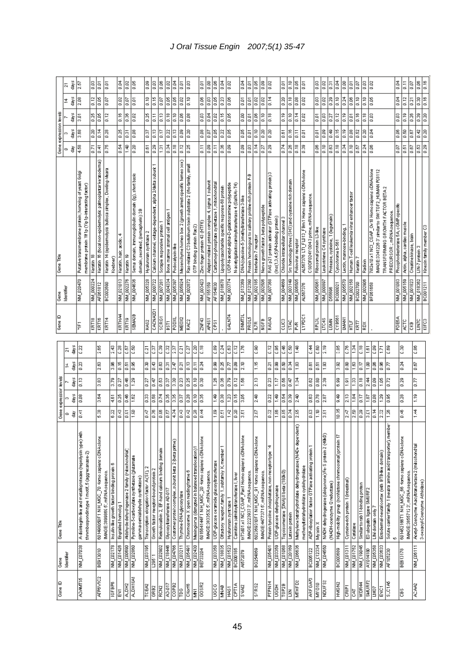| Gene ID                          | Gene                                                                                                                                                                                                                   | Gene Title                                                                                                     |                  | Gene expression levels |                   |                |                   | Gene ID        | Gene               | Gene Title                                                                                       |                        | Gene expression levels |                 |                 |                    |
|----------------------------------|------------------------------------------------------------------------------------------------------------------------------------------------------------------------------------------------------------------------|----------------------------------------------------------------------------------------------------------------|------------------|------------------------|-------------------|----------------|-------------------|----------------|--------------------|--------------------------------------------------------------------------------------------------|------------------------|------------------------|-----------------|-----------------|--------------------|
|                                  | Identifier                                                                                                                                                                                                             |                                                                                                                | ਚੋਂ<br>$\circ$   |                        |                   | 14             | å<br>Z            |                | Identifier         |                                                                                                  | ਭੌ<br>o                | days<br>ø              | days            | days<br>4       | days<br>ă          |
| ADAMT <sub>85</sub>              | <b>NM_007038</b>                                                                                                                                                                                                       |                                                                                                                | 0.41             | days<br>eo.o           | days<br>e.to      | days<br>8.8    | $\overline{0.22}$ | ķΕ             | NM_020470          | Putative transmembrane protein; homolog of yeast Golgi                                           | 4,58                   | 3.68                   | 3.01            | 2.08            | 2.57               |
|                                  |                                                                                                                                                                                                                        | A disintegrin-like and metalloprotease (reprolysin type) with<br>thrombospondintype 1 motif, 5 (aggrecanase-2) |                  |                        |                   |                |                   |                |                    | membrane protein Yif Ip (Yip Ip-interacting factor)                                              |                        |                        |                 |                 |                    |
|                                  |                                                                                                                                                                                                                        |                                                                                                                |                  |                        |                   |                |                   | KRT18          | NM_000224          | Keratin <sub>1</sub>                                                                             | 0.71                   | 0.20                   | 3               | 0.12            | 80.0               |
| <b>ATP6VIC2</b>                  | 000000                                                                                                                                                                                                                 | 601498050F1 NIH_MGC_70 Homo sapiers cDNAclone                                                                  | 5.38             | 3.64                   | 3.83              | 2.63           | 2.65              | KRT16          | AF061812           | Keratin 16 (focal non-epidemolytic palmoplantar keratodema)                                      | 0.41                   | 0.14                   | 0.05            | 0.05            | $\overline{0}$ .01 |
| <b>TGFBP6</b>                    | NM_002178                                                                                                                                                                                                              | Insulin-like growth factor binding protein 6<br>MAGE:38998695', mRNAsequence.                                  | 8.22             | 4.61                   | 3.79              | $\frac{8}{3}$  | 243               | KRT14          | <b>BC002600</b>    | Keratin 14 (epidemolysis bullosa simplex, Dowling-Meara,<br>Koebner)                             | 676                    | 0.28                   | 0.12            | Soo             | ā                  |
| i<br>Ell                         | NM_001426                                                                                                                                                                                                              | Engrailed homolog 1                                                                                            | 8.43             | 820                    | $\overline{0.27}$ | $\frac{16}{2}$ | 0.28              | KRTHA          | NM_021013          | Keratin, hair, acidic, 4                                                                         | 0.54                   | 0.25                   | $\frac{16}{16}$ | 310             | 0.04               |
| ALDH2                            | NM_00090                                                                                                                                                                                                               | Aldehyde dehydrogenase 2 family (mitochondrial)                                                                | 0.91             | 8.                     | 8.                | 0.51           | 0.57              | KRT19          | NM_002276          | Keratin 19                                                                                       | $\frac{40}{3}$         | 0.31                   | 0.36            | $\frac{5}{2}$   | 0.02               |
| <b>ALDH18A1</b>                  | NM_002860                                                                                                                                                                                                              | Pyrroline-5-carboxylate synthetase (glutamate<br>gamma-semialdehyde synthetase)                                | $\frac{8}{1.80}$ | 1.62                   | 1.29              | 0.95           | $\frac{50}{2}$    | <b>SBMA3B</b>  | NM_004636          | Sema domain, immunoglobulin domain (ig), short basic<br>domain, secreted, (semaphorin) 3B        | 20                     | 80.0                   | 0.02            | $\overline{5}$  | 80.0               |
| <b>TCEAZ</b>                     | NM_003195                                                                                                                                                                                                              | Transcription elongation factor A(SII), 2                                                                      | 0.47             | 83                     | 0.27              | 8.             | 0.21              | HAS2           | NM_005328          | Hyaluroran synthase 2                                                                            | 5                      | 0.37                   | 0.25            | $\frac{10}{2}$  | $\frac{80}{2}$     |
| GRB2                             | 139511                                                                                                                                                                                                                 | Growth factor reseptor-bound protein 2                                                                         | 6.76             | 0.58                   | 0.47              | 0.43           | $\overline{0.37}$ | CACNA2D1       | NM_000722          | Calcium channel, votage-dependent, alpha 2/delta suburit 1                                       | 0.29                   | e.ts                   | $\frac{1}{2}$   | ă,              | 8                  |
| RCN <sub>2</sub>                 | NM 002902                                                                                                                                                                                                              | Reticulocalbin 2, EF-hand calcium binding domain                                                               | 0.96             | 0.74                   | 0.53              | 0.63           | 8                 | \$CRG1         | NM 007281          | Sorapie resporsive protein 1                                                                     | 1.31                   | 5                      | $\frac{2}{9}$   | 0.07            | 80.0               |
| <b>KD-017</b>                    | NM_018446                                                                                                                                                                                                              | Glycosytransferase AD-01                                                                                       | S.               | å                      | B                 | ā              | g                 | <b>SST</b>     | NM 004334          | Bone manow stromal cell antigen 1                                                                | 34                     | 0.22                   | O.18            | 80.0            | 0.02               |
| COPB2                            | NM_004766                                                                                                                                                                                                              | Coatomer protein complex, subunit beta 2 (beta prime)                                                          | 4.74             | 3.36                   | 3.30              | 2.47           | $\overline{2.37}$ | PODXL          | NM_005397          | Podocalyxin-like                                                                                 | $\frac{8}{5}$          | 0.13                   | $\frac{10}{2}$  | eg<br>I         | $\frac{3}{2}$      |
| ρg                               | NM_003211                                                                                                                                                                                                              | Thymine-DNA glycosylase                                                                                        | 0.43             | 0.37                   | 0.23              | 0.21           | $\overline{21}$   | ME0X2          | NM_005924          | Mesenchyme homeo box 2 (growth arrest-specific homeo box)                                        | 0.12                   | 0.09                   | 0.06            | 0.02            | ā                  |
| CXorf6                           | NM_005491                                                                                                                                                                                                              | Chromosome X open reading frame 6                                                                              | 0.42             | 0.28                   | 36                | e.             | B                 | RAC2           | NM_002872          | Ras-related C3 botulinum toxin substrate 2 (tho family, small                                    | 0.25                   | 0.20                   | 0.08            | $\frac{10}{10}$ | 8                  |
| Ē                                | NM_002430                                                                                                                                                                                                              | Meningioma (disrupted in balanced translocation)1                                                              | 8                | ĒΘ                     | ١å                | E              | 3                 |                |                    | GTP binding protein Rac2)                                                                        |                        |                        |                 |                 |                    |
| GO SR2                           | BE730204                                                                                                                                                                                                               | 601564144F1 NIH_MGC_20 Homo sapiens cDNAclone                                                                  | 0.44             | 88                     | 830               | 0.24           | Îβ                | ZNF43          | NM_003423          | Zinc finger protein 43 (HTF6)                                                                    | $\frac{1}{2}$          | 0.08                   | 8.03            | 0.06            | $\overline{0}$ .01 |
|                                  |                                                                                                                                                                                                                        | IMAGE:38335305', mRNAsequence.                                                                                 |                  |                        |                   |                |                   | AP481          | AF155159           | Adaptor-related protein complex 4, sigma 1 subunit                                               | 8                      | 0.07                   | 0.04            | 0.03            | 8.00               |
| eger<br>T                        | NM 003368                                                                                                                                                                                                              | UDP-gluoose ceramide gluoosytransferase                                                                        | <b>BS</b>        | 1,49                   | 2                 | 8.0            | 8                 | CPS1           | AF154830           | Carbarnoyl-phosphate synthetase 1, mitochondrial                                                 | E                      | 0.05                   | 0.02            | 0.05            | 0.06               |
| <b>BANM</b>                      | NM_018835                                                                                                                                                                                                              | Offactory receptor, family 1, subfamily K, member 1                                                            | $\frac{5}{2}$    | 0.38                   | 0.36              | 0.25           | 24                |                | NM_018678          | Lipopolysaccharide specific resporse-68 protein                                                  | 8.36                   | 0.22                   | $\frac{15}{2}$  | 33              | 0.04               |
| HAS1                             | NM_001523                                                                                                                                                                                                              | Hyaluroren synthase 1                                                                                          | 142              | I                      | ិ                 | $\frac{2}{3}$  | 8                 | <b>BALNT4</b>  | NM_003774          | UDP-N-acetyl-alpha-D-galactosamine:polypeptide                                                   | 80.0                   | 0.05                   | 80.0            | 0.06            | 0.02               |
| CPT1A                            | <b>BC000185</b>                                                                                                                                                                                                        | Camitine palmitoytransferase I, liver                                                                          | 0.20             | er<br>G                | 0.12              | 8<br>0.08      | $\frac{2}{5}$     |                |                    | N-acetylgalactosaminytransferase 4 (GalNAx-T4)                                                   |                        |                        |                 |                 |                    |
| <b>SNA2</b>                      | A1572079                                                                                                                                                                                                               | tr73d01x1 NCI_CGAP_Pan1 Homo sapiens cDNA.clone                                                                | 5                | g                      | န္တြ              | 1å             | 1.76              | <b>DNMT3L</b>  | NM_013369          | DNA(cytosine-5-)methytransferase 3-like                                                          | 80.0                   | 8                      | e<br> a         | ā,              | <b>B</b>           |
|                                  |                                                                                                                                                                                                                        | IMAGE:22239373', mRNAsequence.                                                                                 |                  |                        |                   |                |                   | PROLS          | NM_012390          | Protein homologous to salivary proline-rich protein P-B                                          | g                      | ē                      | $\frac{1}{2}$   | ō.or            | ē                  |
| SFR <sub>S2</sub>                | BG254869                                                                                                                                                                                                               | 602369310F1 NIH_MGC_91 Homo sapiers cDNAclone                                                                  | 2.87             | 2.48                   | 2.13              | $\frac{15}{1}$ | 8                 | ΕŘ             | NM_002185          | Interleukin 7 receptor                                                                           | 0.14                   | 8.                     | 80.O            | 0.02            | 80.O               |
|                                  |                                                                                                                                                                                                                        | MAGE:44773715', mRNAsequence.                                                                                  |                  |                        |                   |                |                   | <b>RIGFB</b>   | NM 002506          | Nerve growth factor, beta polypeptide                                                            | 0.27                   | 0.20                   | O.TO            | ē               | 0.09               |
| <b>PTPN14</b>                    | NM_005401                                                                                                                                                                                                              | Protein tyrosine phosphatase, non-receptor type 14                                                             | 3                | 0.22                   | 33                | 31             | 0.12              | RASA3          | NM_007368          | RAS p21 protein activator (GTPase activating protein) 3                                          | 8                      | 1                      | $\frac{8}{16}$  | 0.14            | $\frac{0.02}{2}$   |
| <b>HOSDH</b>                     | NM_003359                                                                                                                                                                                                              | UDP-glucose dehydrogenæe                                                                                       | $\frac{88}{1}$   | $\frac{4}{3}$          | Ξ                 | 8.0            | 86.0              |                |                    | (Ins(1,3,4,5)P4 binding protein)                                                                 |                        |                        |                 |                 |                    |
| TOP2B                            | $\frac{1}{2}$<br>$\frac{1}{2}$<br>$\frac{1}{2}$<br>$\frac{1}{2}$<br>$\frac{1}{2}$<br><br>$\frac{1}{2}$<br><br><br><br><br><br><br><br><br><br><br><br><br><br><br><br><br><br><br><br><br><br><br><br><br><br><br><br> | Topoisomerase (DNA) Il beta (180kD)                                                                            | 0.85             | 0.54                   | နီ                | 0.50           | 8                 | <b>B</b><br>B  | NM_004669          | Chloride intracellular channel 3                                                                 | 0.74                   | 8.61                   | S.              | 8.20            | ō.or               |
| š                                |                                                                                                                                                                                                                        | Latexin protein                                                                                                | 0.74             | 83                     | 0.47              | 0.34           | 0.50              | <b>STAC</b>    | NM_003149          | Sro homology three (SH3) and oysteine rich domain                                                | 0.26                   | $\frac{16}{2}$         | $\frac{10}{2}$  | $\frac{8}{16}$  | δ.                 |
| MTHF <sub>D2</sub>               | NM_006636                                                                                                                                                                                                              | ίeπί)<br>Methylene tetrahydrofolate dehydrogenase (NAD+ depend                                                 | 3                | $\frac{9}{240}$        | ¦≌                | 1.83           | ∥≆                | Ι.             | NM_006505          | Poliovinus receptor                                                                              | <b>B.18</b>            | $\frac{1}{9}$          | 0.14            | 80.0            | 80.0               |
|                                  |                                                                                                                                                                                                                        | methenytetrahydrofolate cyclohy drolase                                                                        |                  |                        |                   |                |                   | LYPDCT         | AL567376           | AL567376 LTI_FL013_FBm1 Homo sapiers cDNAclone                                                   | 83                     | ō.or                   | 0.02            | 0.02            | ā                  |
| ARF <sub>0</sub> AP <sub>3</sub> | BC005122                                                                                                                                                                                                               | ADP-ribosylation factor GTPase activating protein 1                                                            | 0.83             | 0.63                   | 0.62              | 0.61           | 0.44              |                |                    | CSODF024YO043 prime, mRNAsequence.                                                               |                        |                        |                 |                 |                    |
| MY 010                           | NM_012334                                                                                                                                                                                                              | Myosin X                                                                                                       | $\frac{1}{2}$    | 1                      | e<br> a           | 3.61           | $\overline{0.60}$ | RPL3L          | NM_005061          | Ribosomal protein L3-like                                                                        | 80.0                   | $\overline{0.01}$      | ō.OT            | 80.0            | eo.o               |
| NDUF <sub>52</sub>               | NM_004550                                                                                                                                                                                                              | NADH dehydrogerase (ubiquinone) Fe-S protein 2 (49kD)<br>(NADH-coenzyme Q reductase)                           | ¤<br> ¤          | 1ã                     | 3                 | ု≊             | g                 | LTC4S<br>LGM/N | NM_00087<br>D55696 | Protease, cysteine, 1 (legumain)<br>Leukotriene C4 synthase                                      | $\frac{10}{2}$<br>0.63 | 80.0<br>0.49           | 8<br>0.27       | 0.02<br>0.29    | ã<br>3             |
| HMGN2                            | <b>BCDD3689</b>                                                                                                                                                                                                        | High-mobility group (nonhistone chromosomal) protein 17                                                        | 10.35            | 9.40                   | 88                | 3.82           | 8                 | CY 861         | BC000021           | Cytochrome b-561                                                                                 | $\frac{8}{16}$         | 0.15                   | 0.12            | e.to            | 0.04               |
| <b>ERIPT</b>                     | NM_001311                                                                                                                                                                                                              | Cysteine rich protein 1 (intestinal)                                                                           | $\frac{1}{2.47}$ | g                      | Į≊                | 0.80           | E                 | <b>LIVENT</b>  | NM_005570          | Lectin, mannose-binding, 1                                                                       | 0.34                   | ¦es                    | ¦es             | 0.24            | eo.o               |
| <b>RO</b>                        | NM_001752                                                                                                                                                                                                              | Catalase                                                                                                       | 2.50             | ∣≋়                    | $\frac{33}{2}$    | $\frac{8}{1}$  | 1.34              | È              | NM_002158          | Human T-cell leukemia vinis enhancer factor                                                      | $\frac{10}{2}$         | 80.0                   | ē               | 80.0            | ē                  |
| WDR44                            | NM_019045                                                                                                                                                                                                              | Similar to rab 11-binding protein                                                                              | 0.29             | 0.17                   | $\frac{8}{5}$     | 0.17           | 0.18              | KRTZ           | BC002700           | Keratin                                                                                          | 0.57                   | 0.52                   | 8,16            | $\frac{10}{10}$ | 0.O7               |
| <b>SMURP2</b>                    | AY014180                                                                                                                                                                                                               | E3 ubiquitin ligase SMURF2                                                                                     | $\frac{5}{3}$    | $\frac{187}{2}$        | 2.44              | 1.80           | $\frac{5}{2}$     | Įă             | NM_002906          | Radixin                                                                                          | 34                     | 0.20                   | 0.18            | $\frac{10}{2}$  | 0.03               |
| È                                | NM_005358                                                                                                                                                                                                              | Lilly domain only 7                                                                                            | 14<br>14         | lg                     | k                 | e<br> a        | g                 |                | <b>BF061658</b>    | 7182e10.x1 NCI_CGAP_Ov18 Homosapiens cDNAclone<br>IMAGE:3341228 3 similarto SW:TGF2_HUMAN PO8112 | ē                      | 0.04                   | ē               | 80.0            | $\frac{20}{2}$     |
| .<br>로                           | NM_003633                                                                                                                                                                                                              | Ectodemal-neuralcortex (with BTB-like domain)                                                                  | 2.32             | 1.29                   | 1.05              | 8.0            | $\overline{171}$  |                |                    | TRANSFORMING GROMTH FACTOR BETA 2                                                                |                        |                        |                 |                 |                    |
| SLC1A5                           | AF105230                                                                                                                                                                                                               | Solute camentanily 1 (neutral amino aciditransporter), member<br>ю                                             | $\frac{36}{2}$   | 38                     | 0.72              | $\overline{u}$ | 80.0              |                |                    | PRECURSOR <sub>4</sub> mRNAsequence.                                                             |                        |                        |                 |                 |                    |
| Ιã                               | <b>BEB13178</b>                                                                                                                                                                                                        | 601462166T1 NIH_MGC_66 Homo sapiers cDNAcione                                                                  | s.d              | 0.28                   | 870               | <b>B.24</b>    | 83                | PDE6A          | NM_001083          | Phosphodiesterase 5A, cGMP-specific                                                              | 50.07                  | 80.0                   | 80.0            | 0.04            | 0.04               |
|                                  |                                                                                                                                                                                                                        | IMAGE:38557123', mRNAsequence.                                                                                 |                  |                        |                   |                |                   | ACTC           | NM_005159          | Actin, alpha, cardiac muscle                                                                     | 5.61                   | 0.50                   | $\frac{8}{5}$   | 0.12            | 0.11               |
| ACAA2                            | NM_006111                                                                                                                                                                                                              |                                                                                                                | $\frac{1}{4}$    | º€                     | ΙŠ,               | 19.0           | 88.0              | k              | NM_001823          | Creatinekinase, brain                                                                            | 3                      | S                      | 8               | ā               | 1                  |
|                                  |                                                                                                                                                                                                                        | Acetyl-Coenzyme Aacytransferase2 (mitochondrial<br>3-oxoacyl-Coenzyme Athiolase)                               |                  |                        |                   |                |                   | <b>ENNIC</b>   | NM_018362          | LIN-7 protein 3                                                                                  | 63                     | 0.42                   | 0.39            | 0.30            | 0.06               |
|                                  |                                                                                                                                                                                                                        |                                                                                                                |                  |                        |                   |                |                   | <b>KIFC3</b>   | BC001211           | Kinesin family member C3                                                                         | 0.29                   | 0.20                   | 0.20            | $\frac{1}{2}$   | 0.16               |

*J Oral Tissue Engin 2007;5(1) 35-47*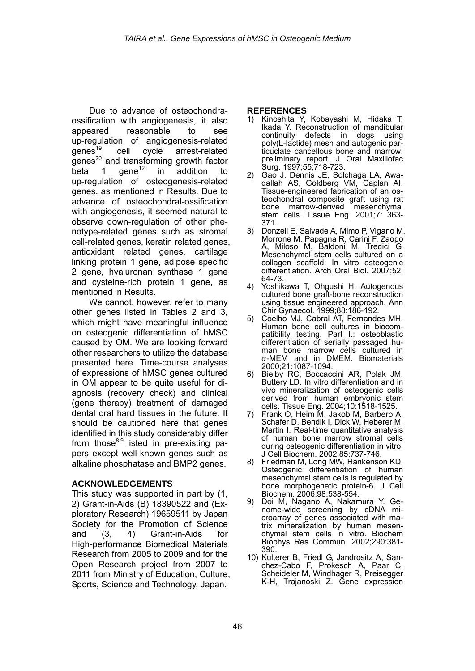Due to advance of osteochondraossification with angiogenesis, it also appeared reasonable to see up-regulation of angiogenesis-related genes<sup>19</sup>, cell cycle arrest-related genes<sup>20</sup> and transforming growth factor beta 1 gene<sup>12</sup> in addition to up-regulation of osteogenesis-related genes, as mentioned in Results. Due to advance of osteochondral-ossification with angiogenesis, it seemed natural to observe down-regulation of other phenotype-related genes such as stromal cell-related genes, keratin related genes, antioxidant related genes, cartilage linking protein 1 gene, adipose specific 2 gene, hyaluronan synthase 1 gene and cysteine-rich protein 1 gene, as mentioned in Results.

We cannot, however, refer to many other genes listed in Tables 2 and 3, which might have meaningful influence on osteogenic differentiation of hMSC caused by OM. We are looking forward other researchers to utilize the database presented here. Time-course analyses of expressions of hMSC genes cultured in OM appear to be quite useful for diagnosis (recovery check) and clinical (gene therapy) treatment of damaged dental oral hard tissues in the future. It should be cautioned here that genes identified in this study considerably differ from those<sup>8,9</sup> listed in pre-existing papers except well-known genes such as alkaline phosphatase and BMP2 genes.

#### **ACKNOWLEDGEMENTS**

This study was supported in part by (1, 2) Grant-in-Aids (B) 18390522 and (Exploratory Research) 19659511 by Japan Society for the Promotion of Science and (3, 4) Grant-in-Aids for High-performance Biomedical Materials Research from 2005 to 2009 and for the Open Research project from 2007 to 2011 from Ministry of Education, Culture, Sports, Science and Technology, Japan.

#### **REFERENCES**

- 1) Kinoshita Y, Kobayashi M, Hidaka T, Ikada Y. Reconstruction of mandibular<br>continuity defects in dogs using continuity defects in dogs using poly(L-lactide) mesh and autogenic particuclate cancellous bone and marrow: preliminary report. J Oral Maxillofac Surg. 1997;55;718-723.
- 2) Gao J, Dennis JE, Solchaga LA, Awadallah AS, Goldberg VM, Caplan AI. Tissue-engineered fabrication of an osteochondral composite graft using rat bone marrow-derived mesenchymal stem cells. Tissue Eng. 2001;7: 363- 371.
- 3) Donzeli E, Salvade A, Mimo P, Vigano M, Morrone M, Papagna R, Carini F, Zaopo A, Miloso M, Baldoni M, Tredici G. Mesenchymal stem cells cultured on a collagen scaffold: In vitro osteogenic differentiation. Arch Oral Biol. 2007;52: 64-73.
- 4) Yoshikawa T, Ohgushi H. Autogenous cultured bone graft-bone reconstruction using tissue engineered approach. Ann Chir Gynaecol. 1999;88:186-192.
- 5) Coelho MJ, Cabral AT, Fernandes MH. Human bone cell cultures in biocompatibility testing. Part I.: osteoblastic differentiation of serially passaged human bone marrow cells cultured in α-MEM and in DMEM. Biomaterials 2000;21:1087-1094.
- 6) Bielby RC, Boccaccini AR, Polak JM, Buttery LD. In vitro differentiation and in vivo mineralization of osteogenic cells derived from human embryonic stem cells. Tissue Eng. 2004;10:1518-1525.
- 7) Frank O, Heim M, Jakob M, Barbero A, Schafer D, Bendik I, Dick W, Heberer M, Martin I. Real-time quantitative analysis of human bone marrow stromal cells during osteogenic differentiation in vitro. J Cell Biochem. 2002;85:737-746.
- 8) Friedman M, Long MW, Hankenson KD. Osteogenic differentiation of human mesenchymal stem cells is regulated by bone morphogenetic protein-6. J Cell Biochem. 2006;98:538-554.
- 9) Doi M, Nagano A, Nakamura Y. Genome-wide screening by cDNA microarray of genes associated with matrix mineralization by human mesenchymal stem cells in vitro. Biochem Biophys Res Commun. 2002;290:381- 390.
- 10) Kulterer B, Friedl G, Jandrositz A, Sanchez-Cabo F, Prokesch A, Paar C, Scheideler M, Windhager R, Preisegger K-H, Trajanoski Z. Gene expression